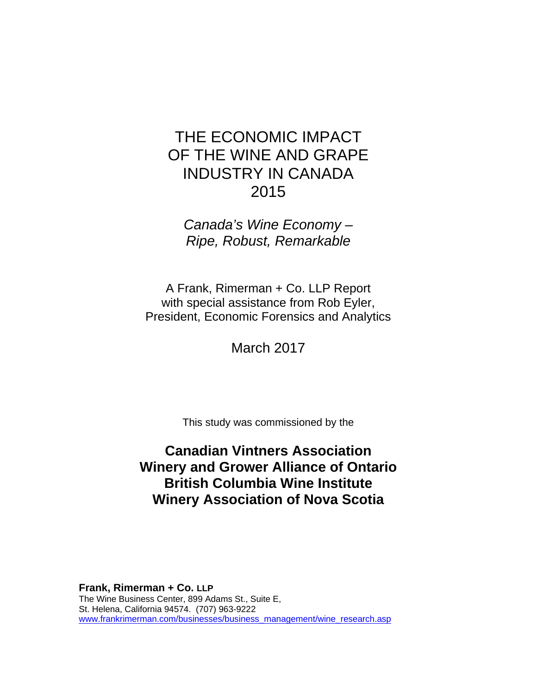*Canada's Wine Economy – Ripe, Robust, Remarkable* 

A Frank, Rimerman + Co. LLP Report with special assistance from Rob Eyler, President, Economic Forensics and Analytics

March 2017

This study was commissioned by the

# **Canadian Vintners Association Winery and Grower Alliance of Ontario British Columbia Wine Institute Winery Association of Nova Scotia**

**Frank, Rimerman + Co. LLP** The Wine Business Center, 899 Adams St., Suite E, St. Helena, California 94574. (707) 963-9222 www.frankrimerman.com/businesses/business\_management/wine\_research.asp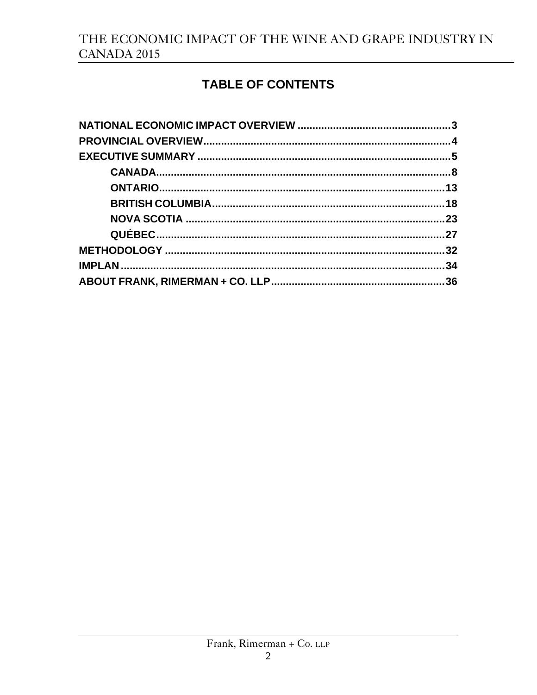# TABLE OF CONTENTS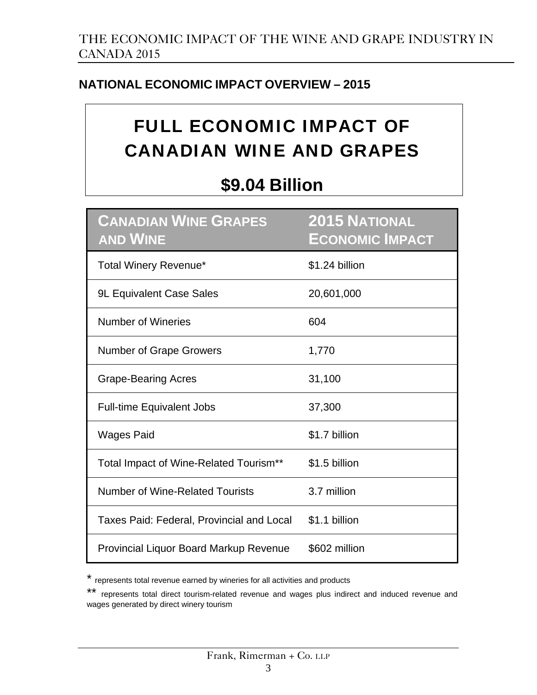# **NATIONAL ECONOMIC IMPACT OVERVIEW – 2015**

# FULL ECONOMIC IMPACT OF CANADIAN WINE AND GRAPES

# **\$9.04 Billion**

| <b>CANADIAN WINE GRAPES</b><br><b>AND WINE</b> | <b>2015 NATIONAL</b><br><b>ECONOMIC IMPACT</b> |
|------------------------------------------------|------------------------------------------------|
| Total Winery Revenue*                          | \$1.24 billion                                 |
| <b>9L Equivalent Case Sales</b>                | 20,601,000                                     |
| <b>Number of Wineries</b>                      | 604                                            |
| <b>Number of Grape Growers</b>                 | 1,770                                          |
| <b>Grape-Bearing Acres</b>                     | 31,100                                         |
| <b>Full-time Equivalent Jobs</b>               | 37,300                                         |
| <b>Wages Paid</b>                              | \$1.7 billion                                  |
| Total Impact of Wine-Related Tourism**         | \$1.5 billion                                  |
| Number of Wine-Related Tourists                | 3.7 million                                    |
| Taxes Paid: Federal, Provincial and Local      | \$1.1 billion                                  |
| <b>Provincial Liquor Board Markup Revenue</b>  | \$602 million                                  |

represents total revenue earned by wineries for all activities and products

<sup>\*\*</sup> represents total direct tourism-related revenue and wages plus indirect and induced revenue and wages generated by direct winery tourism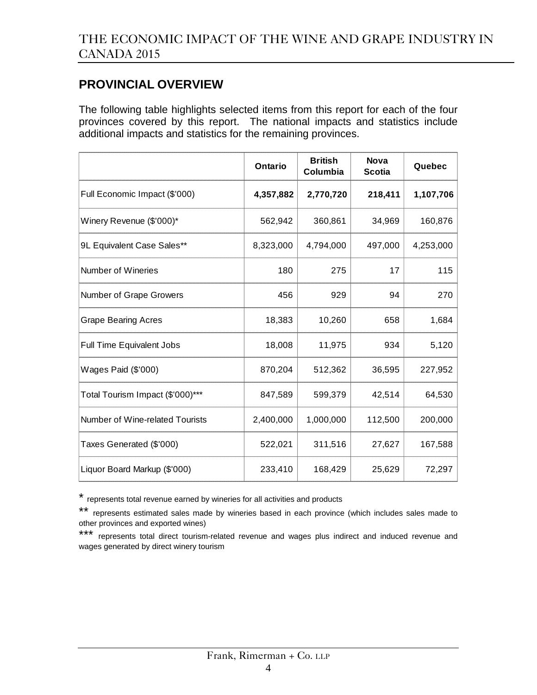### **PROVINCIAL OVERVIEW**

The following table highlights selected items from this report for each of the four provinces covered by this report. The national impacts and statistics include additional impacts and statistics for the remaining provinces.

|                                  | Ontario   | <b>British</b><br>Columbia | <b>Nova</b><br><b>Scotia</b> | Quebec    |
|----------------------------------|-----------|----------------------------|------------------------------|-----------|
| Full Economic Impact (\$'000)    | 4,357,882 | 2,770,720                  | 218,411                      | 1,107,706 |
| Winery Revenue (\$'000)*         | 562,942   | 360,861                    | 34,969                       | 160,876   |
| 9L Equivalent Case Sales**       | 8,323,000 | 4,794,000                  | 497,000                      | 4,253,000 |
| Number of Wineries               | 180       | 275                        | 17                           | 115       |
| Number of Grape Growers          | 456       | 929                        | 94                           | 270       |
| <b>Grape Bearing Acres</b>       | 18,383    | 10,260                     | 658                          | 1,684     |
| Full Time Equivalent Jobs        | 18,008    | 11,975                     | 934                          | 5,120     |
| Wages Paid (\$'000)              | 870,204   | 512,362                    | 36,595                       | 227,952   |
| Total Tourism Impact (\$'000)*** | 847,589   | 599,379                    | 42,514                       | 64,530    |
| Number of Wine-related Tourists  | 2,400,000 | 1,000,000                  | 112,500                      | 200,000   |
| Taxes Generated (\$'000)         | 522,021   | 311,516                    | 27,627                       | 167,588   |
| Liquor Board Markup (\$'000)     | 233,410   | 168,429                    | 25,629                       | 72,297    |

\* represents total revenue earned by wineries for all activities and products

<sup>\*\*</sup> represents estimated sales made by wineries based in each province (which includes sales made to other provinces and exported wines)

<sup>\*\*\*</sup> represents total direct tourism-related revenue and wages plus indirect and induced revenue and wages generated by direct winery tourism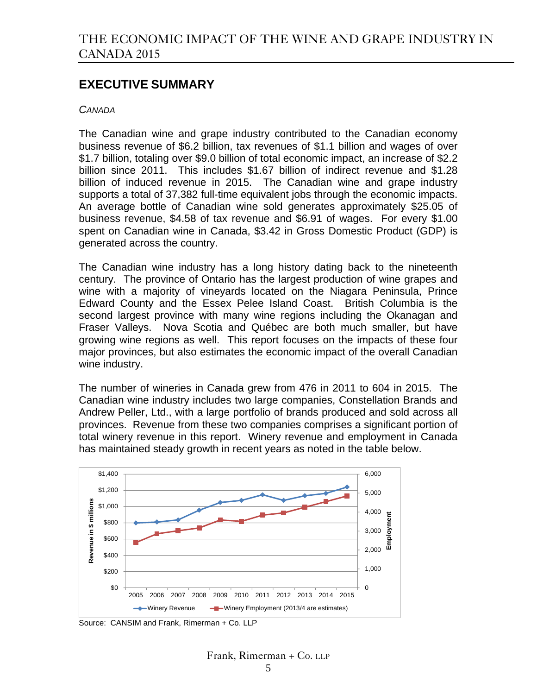### **EXECUTIVE SUMMARY**

#### *CANADA*

The Canadian wine and grape industry contributed to the Canadian economy business revenue of \$6.2 billion, tax revenues of \$1.1 billion and wages of over \$1.7 billion, totaling over \$9.0 billion of total economic impact, an increase of \$2.2 billion since 2011. This includes \$1.67 billion of indirect revenue and \$1.28 billion of induced revenue in 2015. The Canadian wine and grape industry supports a total of 37,382 full-time equivalent jobs through the economic impacts. An average bottle of Canadian wine sold generates approximately \$25.05 of business revenue, \$4.58 of tax revenue and \$6.91 of wages. For every \$1.00 spent on Canadian wine in Canada, \$3.42 in Gross Domestic Product (GDP) is generated across the country.

The Canadian wine industry has a long history dating back to the nineteenth century. The province of Ontario has the largest production of wine grapes and wine with a majority of vineyards located on the Niagara Peninsula, Prince Edward County and the Essex Pelee Island Coast. British Columbia is the second largest province with many wine regions including the Okanagan and Fraser Valleys. Nova Scotia and Québec are both much smaller, but have growing wine regions as well. This report focuses on the impacts of these four major provinces, but also estimates the economic impact of the overall Canadian wine industry.

The number of wineries in Canada grew from 476 in 2011 to 604 in 2015. The Canadian wine industry includes two large companies, Constellation Brands and Andrew Peller, Ltd., with a large portfolio of brands produced and sold across all provinces. Revenue from these two companies comprises a significant portion of total winery revenue in this report. Winery revenue and employment in Canada has maintained steady growth in recent years as noted in the table below.



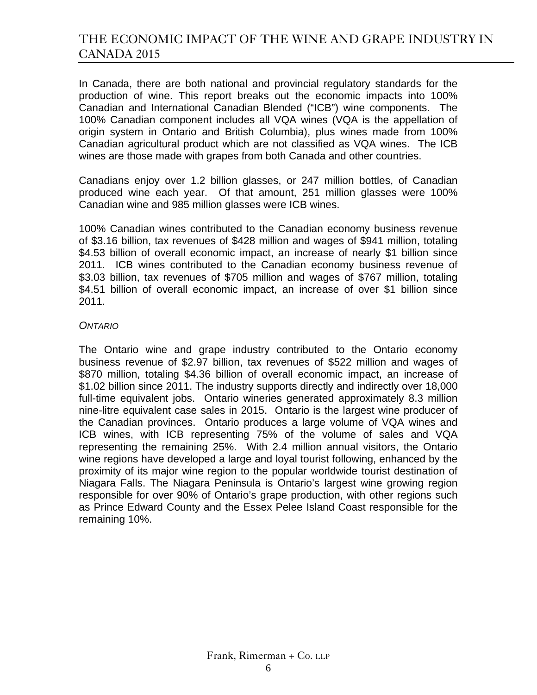In Canada, there are both national and provincial regulatory standards for the production of wine. This report breaks out the economic impacts into 100% Canadian and International Canadian Blended ("ICB") wine components. The 100% Canadian component includes all VQA wines (VQA is the appellation of origin system in Ontario and British Columbia), plus wines made from 100% Canadian agricultural product which are not classified as VQA wines. The ICB wines are those made with grapes from both Canada and other countries.

Canadians enjoy over 1.2 billion glasses, or 247 million bottles, of Canadian produced wine each year. Of that amount, 251 million glasses were 100% Canadian wine and 985 million glasses were ICB wines.

100% Canadian wines contributed to the Canadian economy business revenue of \$3.16 billion, tax revenues of \$428 million and wages of \$941 million, totaling \$4.53 billion of overall economic impact, an increase of nearly \$1 billion since 2011. ICB wines contributed to the Canadian economy business revenue of \$3.03 billion, tax revenues of \$705 million and wages of \$767 million, totaling \$4.51 billion of overall economic impact, an increase of over \$1 billion since 2011.

#### *ONTARIO*

The Ontario wine and grape industry contributed to the Ontario economy business revenue of \$2.97 billion, tax revenues of \$522 million and wages of \$870 million, totaling \$4.36 billion of overall economic impact, an increase of \$1.02 billion since 2011. The industry supports directly and indirectly over 18,000 full-time equivalent jobs. Ontario wineries generated approximately 8.3 million nine-litre equivalent case sales in 2015. Ontario is the largest wine producer of the Canadian provinces. Ontario produces a large volume of VQA wines and ICB wines, with ICB representing 75% of the volume of sales and VQA representing the remaining 25%. With 2.4 million annual visitors, the Ontario wine regions have developed a large and loyal tourist following, enhanced by the proximity of its major wine region to the popular worldwide tourist destination of Niagara Falls. The Niagara Peninsula is Ontario's largest wine growing region responsible for over 90% of Ontario's grape production, with other regions such as Prince Edward County and the Essex Pelee Island Coast responsible for the remaining 10%.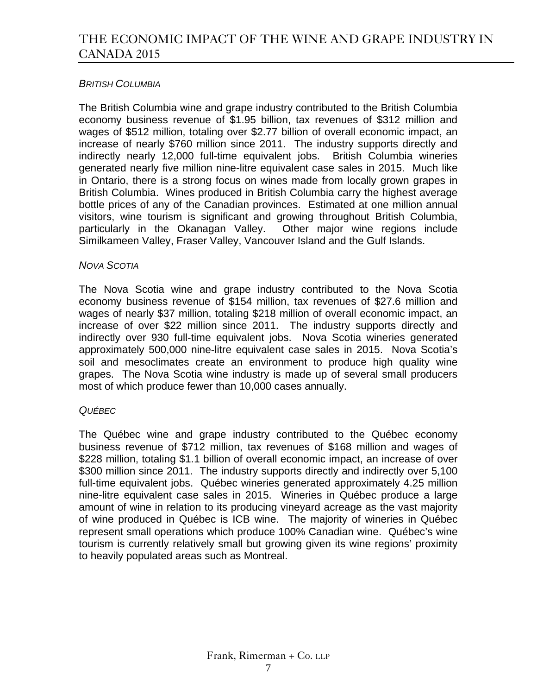### *BRITISH COLUMBIA*

The British Columbia wine and grape industry contributed to the British Columbia economy business revenue of \$1.95 billion, tax revenues of \$312 million and wages of \$512 million, totaling over \$2.77 billion of overall economic impact, an increase of nearly \$760 million since 2011. The industry supports directly and indirectly nearly 12,000 full-time equivalent jobs. British Columbia wineries generated nearly five million nine-litre equivalent case sales in 2015. Much like in Ontario, there is a strong focus on wines made from locally grown grapes in British Columbia. Wines produced in British Columbia carry the highest average bottle prices of any of the Canadian provinces. Estimated at one million annual visitors, wine tourism is significant and growing throughout British Columbia, particularly in the Okanagan Valley. Other major wine regions include Similkameen Valley, Fraser Valley, Vancouver Island and the Gulf Islands.

#### *NOVA SCOTIA*

The Nova Scotia wine and grape industry contributed to the Nova Scotia economy business revenue of \$154 million, tax revenues of \$27.6 million and wages of nearly \$37 million, totaling \$218 million of overall economic impact, an increase of over \$22 million since 2011. The industry supports directly and indirectly over 930 full-time equivalent jobs. Nova Scotia wineries generated approximately 500,000 nine-litre equivalent case sales in 2015. Nova Scotia's soil and mesoclimates create an environment to produce high quality wine grapes. The Nova Scotia wine industry is made up of several small producers most of which produce fewer than 10,000 cases annually.

#### *QUÉBEC*

The Québec wine and grape industry contributed to the Québec economy business revenue of \$712 million, tax revenues of \$168 million and wages of \$228 million, totaling \$1.1 billion of overall economic impact, an increase of over \$300 million since 2011. The industry supports directly and indirectly over 5,100 full-time equivalent jobs. Québec wineries generated approximately 4.25 million nine-litre equivalent case sales in 2015. Wineries in Québec produce a large amount of wine in relation to its producing vineyard acreage as the vast majority of wine produced in Québec is ICB wine. The majority of wineries in Québec represent small operations which produce 100% Canadian wine. Québec's wine tourism is currently relatively small but growing given its wine regions' proximity to heavily populated areas such as Montreal.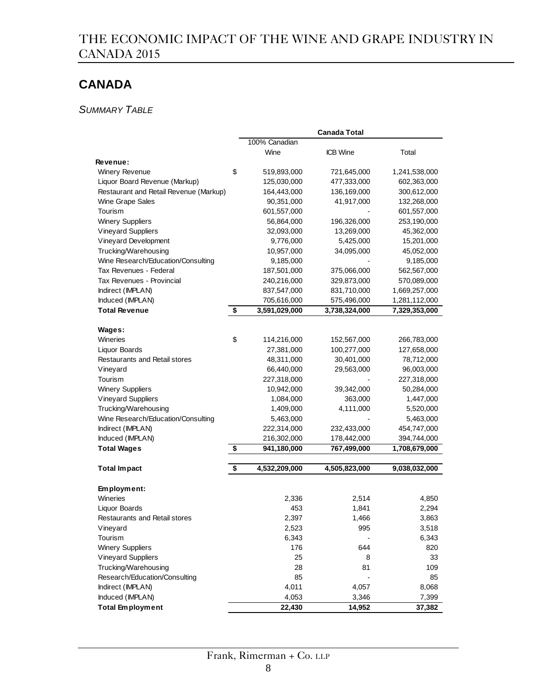# **CANADA**

### *SUMMARY TABLE*

|                                        |                     | <b>Canada Total</b> |               |
|----------------------------------------|---------------------|---------------------|---------------|
|                                        | 100% Canadian       |                     |               |
|                                        | Wine                | <b>ICB</b> Wine     | Total         |
| <b>Revenue:</b>                        |                     |                     |               |
| Winery Revenue                         | \$<br>519,893,000   | 721,645,000         | 1,241,538,000 |
| Liquor Board Revenue (Markup)          | 125,030,000         | 477,333,000         | 602,363,000   |
| Restaurant and Retail Revenue (Markup) | 164,443,000         | 136,169,000         | 300,612,000   |
| Wine Grape Sales                       | 90,351,000          | 41,917,000          | 132,268,000   |
| Tourism                                | 601,557,000         |                     | 601,557,000   |
| <b>Winery Suppliers</b>                | 56,864,000          | 196,326,000         | 253,190,000   |
| <b>Vineyard Suppliers</b>              | 32,093,000          | 13,269,000          | 45,362,000    |
| Vineyard Development                   | 9,776,000           | 5,425,000           | 15,201,000    |
| Trucking/Warehousing                   | 10,957,000          | 34,095,000          | 45,052,000    |
| Wine Research/Education/Consulting     | 9,185,000           |                     | 9,185,000     |
| Tax Revenues - Federal                 | 187,501,000         | 375,066,000         | 562,567,000   |
| Tax Revenues - Provincial              | 240,216,000         | 329,873,000         | 570,089,000   |
| Indirect (IMPLAN)                      | 837,547,000         | 831,710,000         | 1,669,257,000 |
| Induced (IMPLAN)                       | 705,616,000         | 575,496,000         | 1,281,112,000 |
| <b>Total Revenue</b>                   | \$<br>3,591,029,000 | 3,738,324,000       | 7,329,353,000 |
|                                        |                     |                     |               |
| Wages:                                 |                     |                     |               |
| <b>Wineries</b>                        | \$<br>114,216,000   | 152,567,000         | 266,783,000   |
| Liquor Boards                          | 27,381,000          | 100,277,000         | 127,658,000   |
| Restaurants and Retail stores          | 48,311,000          | 30,401,000          | 78,712,000    |
| Vineyard                               | 66,440,000          | 29,563,000          | 96,003,000    |
| Tourism                                | 227,318,000         |                     | 227,318,000   |
| <b>Winery Suppliers</b>                | 10,942,000          | 39,342,000          | 50,284,000    |
| <b>Vineyard Suppliers</b>              | 1,084,000           | 363,000             | 1,447,000     |
| Trucking/Warehousing                   | 1,409,000           | 4,111,000           | 5,520,000     |
| Wine Research/Education/Consulting     | 5,463,000           |                     | 5,463,000     |
| Indirect (IMPLAN)                      | 222,314,000         | 232,433,000         | 454,747,000   |
| Induced (IMPLAN)                       | 216,302,000         | 178,442,000         | 394,744,000   |
| <b>Total Wages</b>                     | \$<br>941,180,000   | 767,499,000         | 1,708,679,000 |
|                                        |                     |                     |               |
| <b>Total Impact</b>                    | \$<br>4,532,209,000 | 4,505,823,000       | 9,038,032,000 |
|                                        |                     |                     |               |
| Employment:                            |                     |                     |               |
| Wineries                               | 2,336               | 2,514               | 4,850         |
| Liquor Boards                          | 453                 | 1,841               | 2,294         |
| <b>Restaurants and Retail stores</b>   | 2,397               | 1,466               | 3,863         |
| Vineyard                               | 2,523               | 995                 | 3,518         |
| Tourism                                | 6,343               |                     | 6,343         |
| <b>Winery Suppliers</b>                | 176                 | 644                 | 820           |
| <b>Vineyard Suppliers</b>              | 25                  | 8                   | 33            |
| Trucking/Warehousing                   | 28                  | 81                  | 109           |
| Research/Education/Consulting          | 85                  |                     | 85            |
| Indirect (IMPLAN)                      | 4,011               | 4,057               | 8,068         |
| Induced (IMPLAN)                       | 4,053               | 3,346               | 7,399         |
| <b>Total Employment</b>                | 22,430              | 14,952              | 37,382        |
|                                        |                     |                     |               |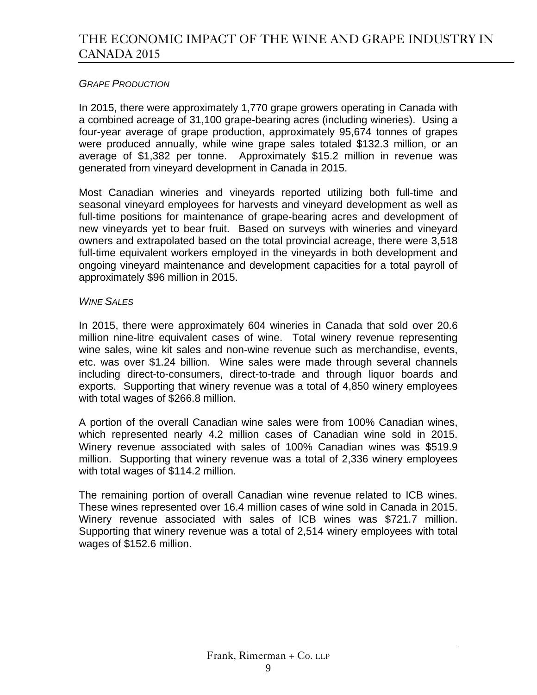### *GRAPE PRODUCTION*

In 2015, there were approximately 1,770 grape growers operating in Canada with a combined acreage of 31,100 grape-bearing acres (including wineries). Using a four-year average of grape production, approximately 95,674 tonnes of grapes were produced annually, while wine grape sales totaled \$132.3 million, or an average of \$1,382 per tonne. Approximately \$15.2 million in revenue was generated from vineyard development in Canada in 2015.

Most Canadian wineries and vineyards reported utilizing both full-time and seasonal vineyard employees for harvests and vineyard development as well as full-time positions for maintenance of grape-bearing acres and development of new vineyards yet to bear fruit. Based on surveys with wineries and vineyard owners and extrapolated based on the total provincial acreage, there were 3,518 full-time equivalent workers employed in the vineyards in both development and ongoing vineyard maintenance and development capacities for a total payroll of approximately \$96 million in 2015.

### *WINE SALES*

In 2015, there were approximately 604 wineries in Canada that sold over 20.6 million nine-litre equivalent cases of wine. Total winery revenue representing wine sales, wine kit sales and non-wine revenue such as merchandise, events, etc. was over \$1.24 billion. Wine sales were made through several channels including direct-to-consumers, direct-to-trade and through liquor boards and exports. Supporting that winery revenue was a total of 4,850 winery employees with total wages of \$266.8 million.

A portion of the overall Canadian wine sales were from 100% Canadian wines, which represented nearly 4.2 million cases of Canadian wine sold in 2015. Winery revenue associated with sales of 100% Canadian wines was \$519.9 million. Supporting that winery revenue was a total of 2,336 winery employees with total wages of \$114.2 million.

The remaining portion of overall Canadian wine revenue related to ICB wines. These wines represented over 16.4 million cases of wine sold in Canada in 2015. Winery revenue associated with sales of ICB wines was \$721.7 million. Supporting that winery revenue was a total of 2,514 winery employees with total wages of \$152.6 million.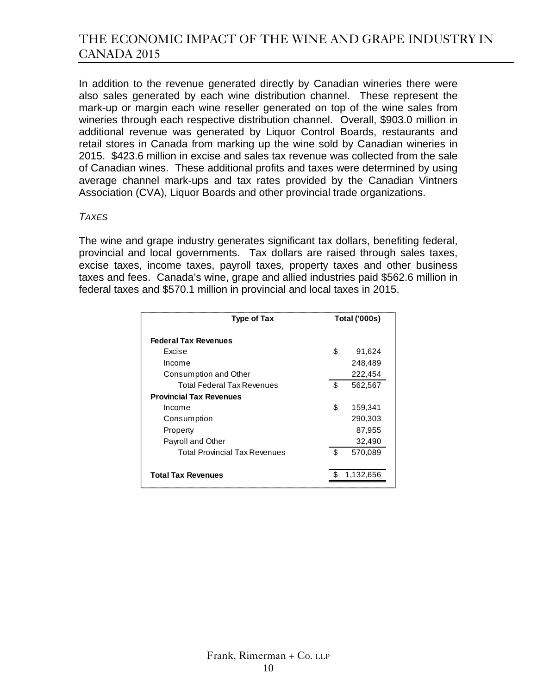In addition to the revenue generated directly by Canadian wineries there were also sales generated by each wine distribution channel. These represent the mark-up or margin each wine reseller generated on top of the wine sales from wineries through each respective distribution channel. Overall, \$903.0 million in additional revenue was generated by Liquor Control Boards, restaurants and retail stores in Canada from marking up the wine sold by Canadian wineries in 2015. \$423.6 million in excise and sales tax revenue was collected from the sale of Canadian wines. These additional profits and taxes were determined by using average channel mark-ups and tax rates provided by the Canadian Vintners Association (CVA), Liquor Boards and other provincial trade organizations.

#### *TAXES*

The wine and grape industry generates significant tax dollars, benefiting federal, provincial and local governments. Tax dollars are raised through sales taxes, excise taxes, income taxes, payroll taxes, property taxes and other business taxes and fees. Canada's wine, grape and allied industries paid \$562.6 million in federal taxes and \$570.1 million in provincial and local taxes in 2015.

| <b>Type of Tax</b>                   | <b>Total ('000s)</b> |           |
|--------------------------------------|----------------------|-----------|
| <b>Federal Tax Revenues</b>          |                      |           |
| Excise                               | \$                   | 91,624    |
| Income                               |                      | 248,489   |
| Consumption and Other                |                      | 222,454   |
| Total Federal Tax Revenues           | \$                   | 562,567   |
| <b>Provincial Tax Revenues</b>       |                      |           |
| Income                               | \$                   | 159,341   |
| Consumption                          |                      | 290,303   |
| Property                             |                      | 87,955    |
| Payroll and Other                    |                      | 32,490    |
| <b>Total Provincial Tax Revenues</b> | \$                   | 570,089   |
|                                      |                      |           |
| <b>Total Tax Revenues</b>            |                      | 1,132,656 |
|                                      |                      |           |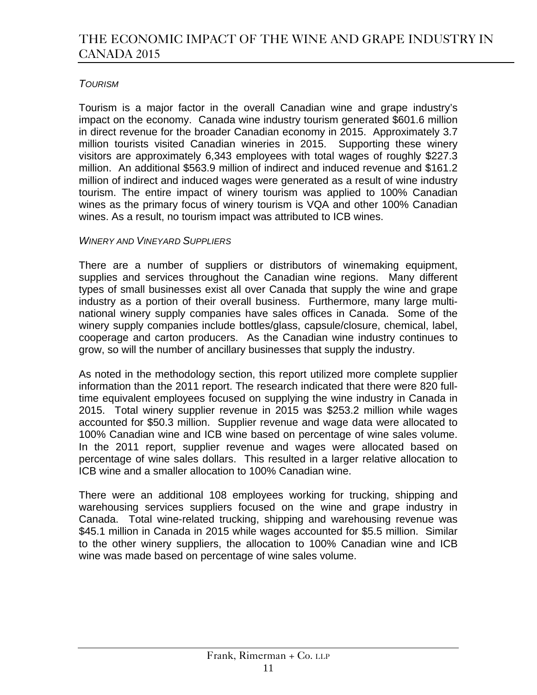### *TOURISM*

Tourism is a major factor in the overall Canadian wine and grape industry's impact on the economy. Canada wine industry tourism generated \$601.6 million in direct revenue for the broader Canadian economy in 2015. Approximately 3.7 million tourists visited Canadian wineries in 2015. Supporting these winery visitors are approximately 6,343 employees with total wages of roughly \$227.3 million. An additional \$563.9 million of indirect and induced revenue and \$161.2 million of indirect and induced wages were generated as a result of wine industry tourism. The entire impact of winery tourism was applied to 100% Canadian wines as the primary focus of winery tourism is VQA and other 100% Canadian wines. As a result, no tourism impact was attributed to ICB wines.

### *WINERY AND VINEYARD SUPPLIERS*

There are a number of suppliers or distributors of winemaking equipment, supplies and services throughout the Canadian wine regions. Many different types of small businesses exist all over Canada that supply the wine and grape industry as a portion of their overall business. Furthermore, many large multinational winery supply companies have sales offices in Canada. Some of the winery supply companies include bottles/glass, capsule/closure, chemical, label, cooperage and carton producers. As the Canadian wine industry continues to grow, so will the number of ancillary businesses that supply the industry.

As noted in the methodology section, this report utilized more complete supplier information than the 2011 report. The research indicated that there were 820 fulltime equivalent employees focused on supplying the wine industry in Canada in 2015. Total winery supplier revenue in 2015 was \$253.2 million while wages accounted for \$50.3 million. Supplier revenue and wage data were allocated to 100% Canadian wine and ICB wine based on percentage of wine sales volume. In the 2011 report, supplier revenue and wages were allocated based on percentage of wine sales dollars. This resulted in a larger relative allocation to ICB wine and a smaller allocation to 100% Canadian wine.

There were an additional 108 employees working for trucking, shipping and warehousing services suppliers focused on the wine and grape industry in Canada. Total wine-related trucking, shipping and warehousing revenue was \$45.1 million in Canada in 2015 while wages accounted for \$5.5 million. Similar to the other winery suppliers, the allocation to 100% Canadian wine and ICB wine was made based on percentage of wine sales volume.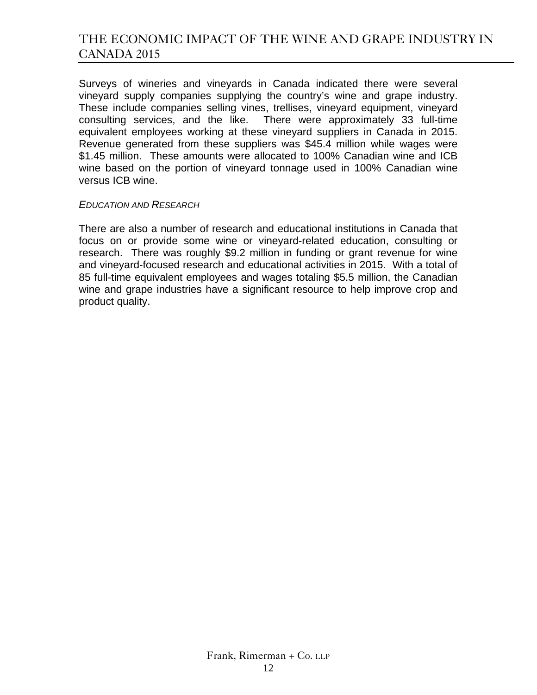Surveys of wineries and vineyards in Canada indicated there were several vineyard supply companies supplying the country's wine and grape industry. These include companies selling vines, trellises, vineyard equipment, vineyard consulting services, and the like. There were approximately 33 full-time equivalent employees working at these vineyard suppliers in Canada in 2015. Revenue generated from these suppliers was \$45.4 million while wages were \$1.45 million. These amounts were allocated to 100% Canadian wine and ICB wine based on the portion of vineyard tonnage used in 100% Canadian wine versus ICB wine.

#### *EDUCATION AND RESEARCH*

There are also a number of research and educational institutions in Canada that focus on or provide some wine or vineyard-related education, consulting or research. There was roughly \$9.2 million in funding or grant revenue for wine and vineyard-focused research and educational activities in 2015. With a total of 85 full-time equivalent employees and wages totaling \$5.5 million, the Canadian wine and grape industries have a significant resource to help improve crop and product quality.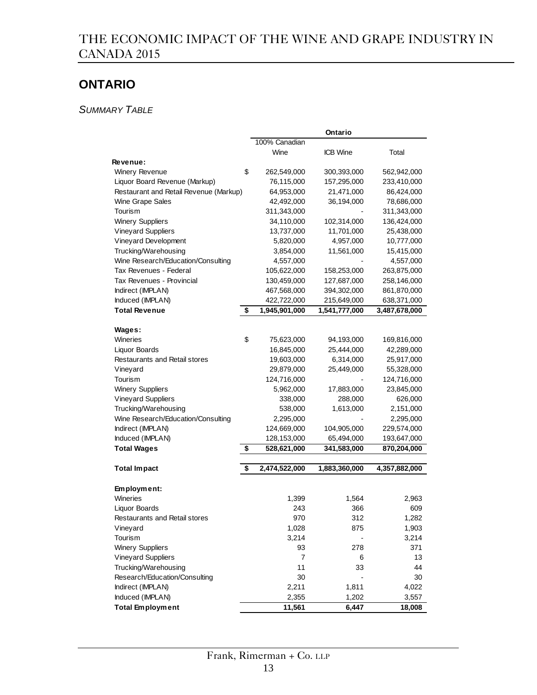# **ONTARIO**

*SUMMARY TABLE*

|                                        |                     | Ontario         |               |
|----------------------------------------|---------------------|-----------------|---------------|
|                                        | 100% Canadian       |                 |               |
|                                        | Wine                | <b>ICB</b> Wine | Total         |
| Revenue:                               |                     |                 |               |
| <b>Winery Revenue</b>                  | \$<br>262,549,000   | 300,393,000     | 562,942,000   |
| Liquor Board Revenue (Markup)          | 76,115,000          | 157,295,000     | 233,410,000   |
| Restaurant and Retail Revenue (Markup) | 64,953,000          | 21,471,000      | 86,424,000    |
| <b>Wine Grape Sales</b>                | 42,492,000          | 36,194,000      | 78,686,000    |
| Tourism                                | 311,343,000         |                 | 311,343,000   |
| <b>Winery Suppliers</b>                | 34,110,000          | 102,314,000     | 136,424,000   |
| <b>Vineyard Suppliers</b>              | 13,737,000          | 11,701,000      | 25,438,000    |
| Vineyard Development                   | 5,820,000           | 4,957,000       | 10,777,000    |
| Trucking/Warehousing                   | 3,854,000           | 11,561,000      | 15,415,000    |
| Wine Research/Education/Consulting     | 4,557,000           |                 | 4,557,000     |
| Tax Revenues - Federal                 | 105,622,000         | 158,253,000     | 263,875,000   |
| Tax Revenues - Provincial              | 130,459,000         | 127,687,000     | 258,146,000   |
| Indirect (IMPLAN)                      | 467,568,000         | 394,302,000     | 861,870,000   |
| Induced (IMPLAN)                       | 422,722,000         | 215,649,000     | 638,371,000   |
| <b>Total Revenue</b>                   | \$<br>1,945,901,000 | 1,541,777,000   | 3,487,678,000 |
|                                        |                     |                 |               |
| Wages:                                 |                     |                 |               |
| Wineries                               | \$<br>75,623,000    | 94,193,000      | 169,816,000   |
| Liquor Boards                          | 16,845,000          | 25,444,000      | 42,289,000    |
| Restaurants and Retail stores          | 19,603,000          | 6,314,000       | 25,917,000    |
| Vineyard                               | 29,879,000          | 25,449,000      | 55,328,000    |
| Tourism                                | 124,716,000         |                 | 124,716,000   |
| <b>Winery Suppliers</b>                | 5,962,000           | 17,883,000      | 23,845,000    |
| <b>Vineyard Suppliers</b>              | 338,000             | 288,000         | 626,000       |
| Trucking/Warehousing                   | 538,000             | 1,613,000       | 2,151,000     |
| Wine Research/Education/Consulting     | 2,295,000           |                 | 2,295,000     |
| Indirect (IMPLAN)                      | 124,669,000         | 104,905,000     | 229,574,000   |
| Induced (IMPLAN)                       | 128,153,000         | 65,494,000      | 193,647,000   |
| <b>Total Wages</b>                     | \$<br>528,621,000   | 341,583,000     | 870,204,000   |
|                                        |                     |                 |               |
| <b>Total Impact</b>                    | \$<br>2,474,522,000 | 1,883,360,000   | 4,357,882,000 |
|                                        |                     |                 |               |
| Employment:                            |                     |                 |               |
| Wineries                               | 1,399               | 1,564           | 2,963         |
| Liquor Boards                          | 243                 | 366             | 609           |
| <b>Restaurants and Retail stores</b>   | 970                 | 312             | 1,282         |
| Vineyard                               | 1,028               | 875             | 1,903         |
| Tourism                                | 3,214               |                 | 3,214         |
| <b>Winery Suppliers</b>                | 93                  | 278             | 371           |
| <b>Vineyard Suppliers</b>              | 7                   | 6               | 13            |
| Trucking/Warehousing                   | 11                  | 33              | 44            |
| Research/Education/Consulting          | 30                  |                 | 30            |
| Indirect (IMPLAN)                      | 2,211               | 1,811           | 4,022         |
| Induced (IMPLAN)                       | 2,355               | 1,202           | 3,557         |
| <b>Total Employment</b>                | 11,561              | 6,447           | 18,008        |
|                                        |                     |                 |               |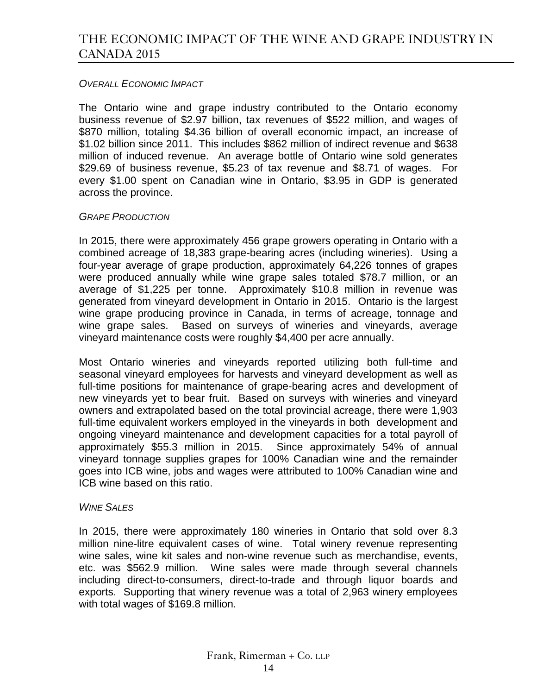### *OVERALL ECONOMIC IMPACT*

The Ontario wine and grape industry contributed to the Ontario economy business revenue of \$2.97 billion, tax revenues of \$522 million, and wages of \$870 million, totaling \$4.36 billion of overall economic impact, an increase of \$1.02 billion since 2011. This includes \$862 million of indirect revenue and \$638 million of induced revenue. An average bottle of Ontario wine sold generates \$29.69 of business revenue, \$5.23 of tax revenue and \$8.71 of wages. For every \$1.00 spent on Canadian wine in Ontario, \$3.95 in GDP is generated across the province.

#### *GRAPE PRODUCTION*

In 2015, there were approximately 456 grape growers operating in Ontario with a combined acreage of 18,383 grape-bearing acres (including wineries). Using a four-year average of grape production, approximately 64,226 tonnes of grapes were produced annually while wine grape sales totaled \$78.7 million, or an average of \$1,225 per tonne. Approximately \$10.8 million in revenue was generated from vineyard development in Ontario in 2015. Ontario is the largest wine grape producing province in Canada, in terms of acreage, tonnage and wine grape sales. Based on surveys of wineries and vineyards, average vineyard maintenance costs were roughly \$4,400 per acre annually.

Most Ontario wineries and vineyards reported utilizing both full-time and seasonal vineyard employees for harvests and vineyard development as well as full-time positions for maintenance of grape-bearing acres and development of new vineyards yet to bear fruit. Based on surveys with wineries and vineyard owners and extrapolated based on the total provincial acreage, there were 1,903 full-time equivalent workers employed in the vineyards in both development and ongoing vineyard maintenance and development capacities for a total payroll of approximately \$55.3 million in 2015. Since approximately 54% of annual vineyard tonnage supplies grapes for 100% Canadian wine and the remainder goes into ICB wine, jobs and wages were attributed to 100% Canadian wine and ICB wine based on this ratio.

#### *WINE SALES*

In 2015, there were approximately 180 wineries in Ontario that sold over 8.3 million nine-litre equivalent cases of wine. Total winery revenue representing wine sales, wine kit sales and non-wine revenue such as merchandise, events, etc. was \$562.9 million. Wine sales were made through several channels including direct-to-consumers, direct-to-trade and through liquor boards and exports. Supporting that winery revenue was a total of 2,963 winery employees with total wages of \$169.8 million.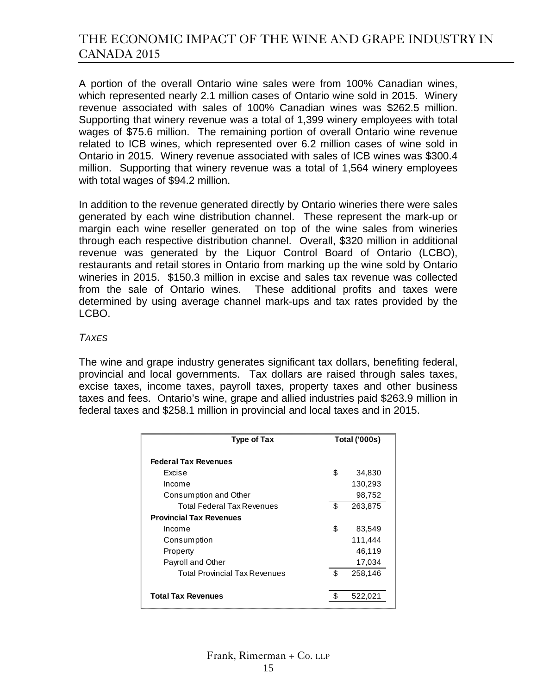A portion of the overall Ontario wine sales were from 100% Canadian wines, which represented nearly 2.1 million cases of Ontario wine sold in 2015. Winery revenue associated with sales of 100% Canadian wines was \$262.5 million. Supporting that winery revenue was a total of 1,399 winery employees with total wages of \$75.6 million. The remaining portion of overall Ontario wine revenue related to ICB wines, which represented over 6.2 million cases of wine sold in Ontario in 2015. Winery revenue associated with sales of ICB wines was \$300.4 million. Supporting that winery revenue was a total of 1,564 winery employees with total wages of \$94.2 million.

In addition to the revenue generated directly by Ontario wineries there were sales generated by each wine distribution channel. These represent the mark-up or margin each wine reseller generated on top of the wine sales from wineries through each respective distribution channel. Overall, \$320 million in additional revenue was generated by the Liquor Control Board of Ontario (LCBO), restaurants and retail stores in Ontario from marking up the wine sold by Ontario wineries in 2015. \$150.3 million in excise and sales tax revenue was collected from the sale of Ontario wines. These additional profits and taxes were determined by using average channel mark-ups and tax rates provided by the LCBO.

#### *TAXES*

The wine and grape industry generates significant tax dollars, benefiting federal, provincial and local governments. Tax dollars are raised through sales taxes, excise taxes, income taxes, payroll taxes, property taxes and other business taxes and fees. Ontario's wine, grape and allied industries paid \$263.9 million in federal taxes and \$258.1 million in provincial and local taxes and in 2015.

| Type of Tax                          |    | <b>Total ('000s)</b> |
|--------------------------------------|----|----------------------|
| <b>Federal Tax Revenues</b>          |    |                      |
| Excise                               | \$ | 34,830               |
| Income                               |    | 130,293              |
| Consumption and Other                |    | 98,752               |
| Total Federal Tax Revenues           | \$ | 263,875              |
| <b>Provincial Tax Revenues</b>       |    |                      |
| Income                               | \$ | 83,549               |
| Consumption                          |    | 111,444              |
| Property                             |    | 46,119               |
| Payroll and Other                    |    | 17,034               |
| <b>Total Provincial Tax Revenues</b> | \$ | 258,146              |
|                                      |    |                      |
| <b>Total Tax Revenues</b>            |    | 522,02'              |
|                                      |    |                      |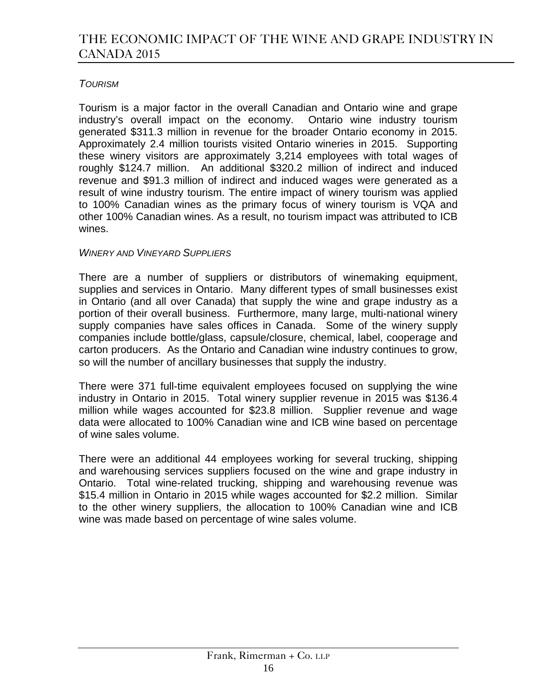### *TOURISM*

Tourism is a major factor in the overall Canadian and Ontario wine and grape industry's overall impact on the economy. Ontario wine industry tourism generated \$311.3 million in revenue for the broader Ontario economy in 2015. Approximately 2.4 million tourists visited Ontario wineries in 2015. Supporting these winery visitors are approximately 3,214 employees with total wages of roughly \$124.7 million. An additional \$320.2 million of indirect and induced revenue and \$91.3 million of indirect and induced wages were generated as a result of wine industry tourism. The entire impact of winery tourism was applied to 100% Canadian wines as the primary focus of winery tourism is VQA and other 100% Canadian wines. As a result, no tourism impact was attributed to ICB wines.

### *WINERY AND VINEYARD SUPPLIERS*

There are a number of suppliers or distributors of winemaking equipment, supplies and services in Ontario. Many different types of small businesses exist in Ontario (and all over Canada) that supply the wine and grape industry as a portion of their overall business. Furthermore, many large, multi-national winery supply companies have sales offices in Canada. Some of the winery supply companies include bottle/glass, capsule/closure, chemical, label, cooperage and carton producers. As the Ontario and Canadian wine industry continues to grow, so will the number of ancillary businesses that supply the industry.

There were 371 full-time equivalent employees focused on supplying the wine industry in Ontario in 2015. Total winery supplier revenue in 2015 was \$136.4 million while wages accounted for \$23.8 million. Supplier revenue and wage data were allocated to 100% Canadian wine and ICB wine based on percentage of wine sales volume.

There were an additional 44 employees working for several trucking, shipping and warehousing services suppliers focused on the wine and grape industry in Ontario. Total wine-related trucking, shipping and warehousing revenue was \$15.4 million in Ontario in 2015 while wages accounted for \$2.2 million. Similar to the other winery suppliers, the allocation to 100% Canadian wine and ICB wine was made based on percentage of wine sales volume.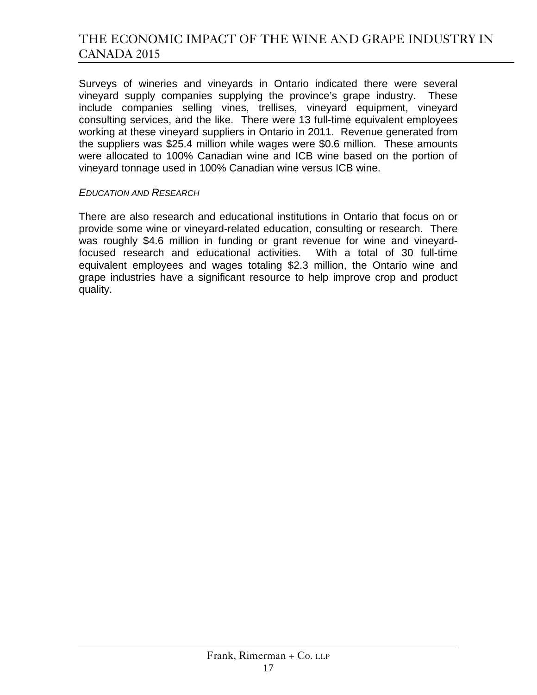Surveys of wineries and vineyards in Ontario indicated there were several vineyard supply companies supplying the province's grape industry. These include companies selling vines, trellises, vineyard equipment, vineyard consulting services, and the like. There were 13 full-time equivalent employees working at these vineyard suppliers in Ontario in 2011. Revenue generated from the suppliers was \$25.4 million while wages were \$0.6 million. These amounts were allocated to 100% Canadian wine and ICB wine based on the portion of vineyard tonnage used in 100% Canadian wine versus ICB wine.

#### *EDUCATION AND RESEARCH*

There are also research and educational institutions in Ontario that focus on or provide some wine or vineyard-related education, consulting or research. There was roughly \$4.6 million in funding or grant revenue for wine and vineyardfocused research and educational activities. With a total of 30 full-time equivalent employees and wages totaling \$2.3 million, the Ontario wine and grape industries have a significant resource to help improve crop and product quality.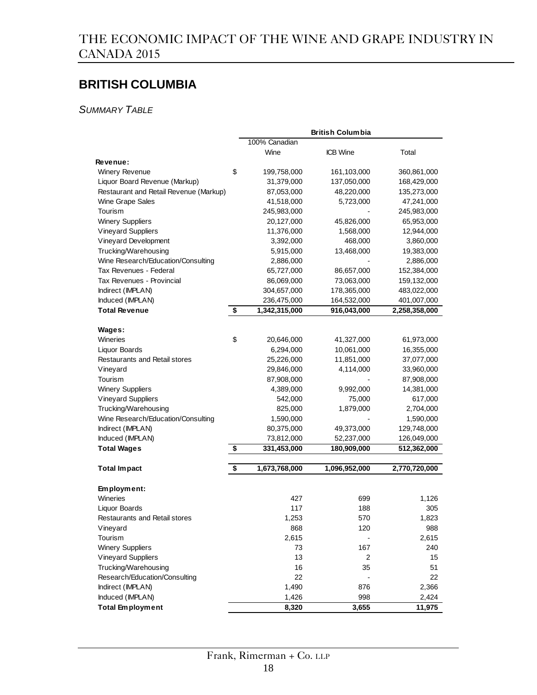# **BRITISH COLUMBIA**

*SUMMARY TABLE*

|                                        | <b>British Columbia</b> |               |                 |               |
|----------------------------------------|-------------------------|---------------|-----------------|---------------|
|                                        |                         | 100% Canadian |                 |               |
|                                        |                         | Wine          | <b>ICB</b> Wine | Total         |
| Revenue:                               |                         |               |                 |               |
| <b>Winery Revenue</b>                  | \$                      | 199,758,000   | 161,103,000     | 360,861,000   |
| Liquor Board Revenue (Markup)          |                         | 31,379,000    | 137,050,000     | 168,429,000   |
| Restaurant and Retail Revenue (Markup) |                         | 87,053,000    | 48,220,000      | 135,273,000   |
| Wine Grape Sales                       |                         | 41,518,000    | 5,723,000       | 47,241,000    |
| Tourism                                |                         | 245,983,000   |                 | 245,983,000   |
| <b>Winery Suppliers</b>                |                         | 20,127,000    | 45,826,000      | 65,953,000    |
| <b>Vineyard Suppliers</b>              |                         | 11,376,000    | 1,568,000       | 12,944,000    |
| Vineyard Development                   |                         | 3,392,000     | 468,000         | 3,860,000     |
| Trucking/Warehousing                   |                         | 5,915,000     | 13,468,000      | 19,383,000    |
| Wine Research/Education/Consulting     |                         | 2,886,000     |                 | 2,886,000     |
| Tax Revenues - Federal                 |                         | 65,727,000    | 86,657,000      | 152,384,000   |
| Tax Revenues - Provincial              |                         | 86,069,000    | 73,063,000      | 159,132,000   |
| Indirect (IMPLAN)                      |                         | 304,657,000   | 178,365,000     | 483,022,000   |
| Induced (IMPLAN)                       |                         | 236,475,000   | 164,532,000     | 401,007,000   |
| <b>Total Revenue</b>                   | \$                      | 1,342,315,000 | 916,043,000     | 2,258,358,000 |
|                                        |                         |               |                 |               |
| Wages:                                 |                         |               |                 |               |
| Wineries                               | \$                      | 20,646,000    | 41,327,000      | 61,973,000    |
| Liquor Boards                          |                         | 6,294,000     | 10,061,000      | 16,355,000    |
| Restaurants and Retail stores          |                         | 25,226,000    | 11,851,000      | 37,077,000    |
| Vineyard                               |                         | 29,846,000    | 4,114,000       | 33,960,000    |
| Tourism                                |                         | 87,908,000    |                 | 87,908,000    |
| <b>Winery Suppliers</b>                |                         | 4,389,000     | 9,992,000       | 14,381,000    |
| <b>Vineyard Suppliers</b>              |                         | 542,000       | 75,000          | 617,000       |
| Trucking/Warehousing                   |                         | 825,000       | 1,879,000       | 2,704,000     |
| Wine Research/Education/Consulting     |                         | 1,590,000     |                 | 1,590,000     |
| Indirect (IMPLAN)                      |                         | 80,375,000    | 49,373,000      | 129,748,000   |
| Induced (IMPLAN)                       |                         | 73,812,000    | 52,237,000      | 126,049,000   |
| <b>Total Wages</b>                     | \$                      | 331,453,000   | 180,909,000     | 512,362,000   |
| <b>Total Impact</b>                    | \$                      | 1,673,768,000 | 1,096,952,000   | 2,770,720,000 |
|                                        |                         |               |                 |               |
| Employment:                            |                         |               |                 |               |
| Wineries                               |                         | 427           | 699             | 1,126         |
| Liquor Boards                          |                         | 117           | 188             | 305           |
| Restaurants and Retail stores          |                         | 1,253         | 570             | 1,823         |
| Vineyard                               |                         | 868           | 120             | 988           |
| Tourism                                |                         | 2,615         |                 | 2,615         |
| <b>Winery Suppliers</b>                |                         | 73            | 167             | 240           |
| <b>Vineyard Suppliers</b>              |                         | 13            | 2               | 15            |
| Trucking/Warehousing                   |                         | 16            | 35              | 51            |
| Research/Education/Consulting          |                         | 22            |                 | 22            |
| Indirect (IMPLAN)                      |                         | 1,490         | 876             | 2,366         |
| Induced (IMPLAN)                       |                         | 1,426         | 998             | 2,424         |
| <b>Total Employment</b>                |                         | 8,320         | 3,655           | 11,975        |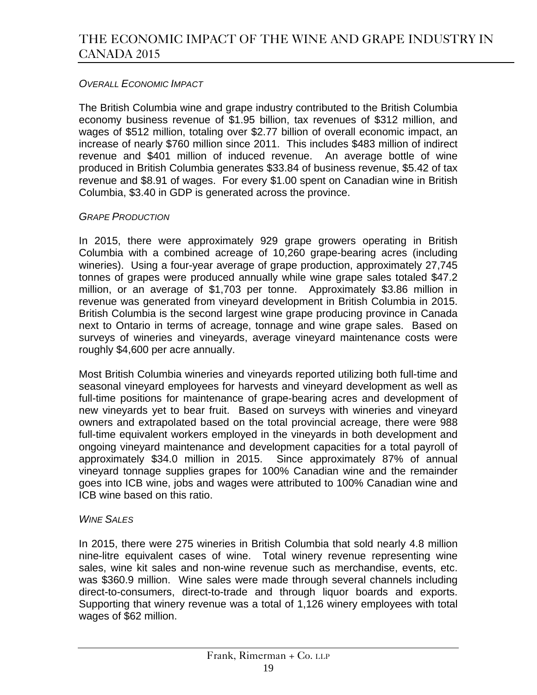### *OVERALL ECONOMIC IMPACT*

The British Columbia wine and grape industry contributed to the British Columbia economy business revenue of \$1.95 billion, tax revenues of \$312 million, and wages of \$512 million, totaling over \$2.77 billion of overall economic impact, an increase of nearly \$760 million since 2011. This includes \$483 million of indirect revenue and \$401 million of induced revenue. An average bottle of wine produced in British Columbia generates \$33.84 of business revenue, \$5.42 of tax revenue and \$8.91 of wages. For every \$1.00 spent on Canadian wine in British Columbia, \$3.40 in GDP is generated across the province.

#### *GRAPE PRODUCTION*

In 2015, there were approximately 929 grape growers operating in British Columbia with a combined acreage of 10,260 grape-bearing acres (including wineries). Using a four-year average of grape production, approximately 27,745 tonnes of grapes were produced annually while wine grape sales totaled \$47.2 million, or an average of \$1,703 per tonne. Approximately \$3.86 million in revenue was generated from vineyard development in British Columbia in 2015. British Columbia is the second largest wine grape producing province in Canada next to Ontario in terms of acreage, tonnage and wine grape sales. Based on surveys of wineries and vineyards, average vineyard maintenance costs were roughly \$4,600 per acre annually.

Most British Columbia wineries and vineyards reported utilizing both full-time and seasonal vineyard employees for harvests and vineyard development as well as full-time positions for maintenance of grape-bearing acres and development of new vineyards yet to bear fruit. Based on surveys with wineries and vineyard owners and extrapolated based on the total provincial acreage, there were 988 full-time equivalent workers employed in the vineyards in both development and ongoing vineyard maintenance and development capacities for a total payroll of approximately \$34.0 million in 2015. Since approximately 87% of annual vineyard tonnage supplies grapes for 100% Canadian wine and the remainder goes into ICB wine, jobs and wages were attributed to 100% Canadian wine and ICB wine based on this ratio.

#### *WINE SALES*

In 2015, there were 275 wineries in British Columbia that sold nearly 4.8 million nine-litre equivalent cases of wine. Total winery revenue representing wine sales, wine kit sales and non-wine revenue such as merchandise, events, etc. was \$360.9 million. Wine sales were made through several channels including direct-to-consumers, direct-to-trade and through liquor boards and exports. Supporting that winery revenue was a total of 1,126 winery employees with total wages of \$62 million.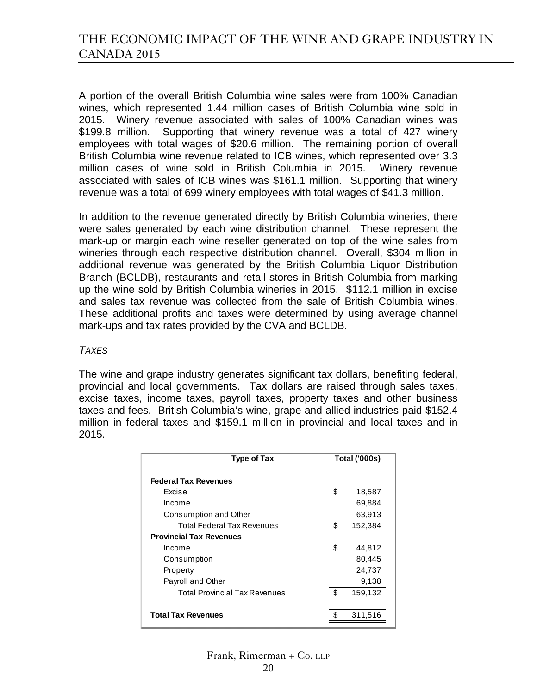A portion of the overall British Columbia wine sales were from 100% Canadian wines, which represented 1.44 million cases of British Columbia wine sold in 2015. Winery revenue associated with sales of 100% Canadian wines was \$199.8 million. Supporting that winery revenue was a total of 427 winery employees with total wages of \$20.6 million. The remaining portion of overall British Columbia wine revenue related to ICB wines, which represented over 3.3 million cases of wine sold in British Columbia in 2015. Winery revenue associated with sales of ICB wines was \$161.1 million. Supporting that winery revenue was a total of 699 winery employees with total wages of \$41.3 million.

In addition to the revenue generated directly by British Columbia wineries, there were sales generated by each wine distribution channel. These represent the mark-up or margin each wine reseller generated on top of the wine sales from wineries through each respective distribution channel. Overall, \$304 million in additional revenue was generated by the British Columbia Liquor Distribution Branch (BCLDB), restaurants and retail stores in British Columbia from marking up the wine sold by British Columbia wineries in 2015. \$112.1 million in excise and sales tax revenue was collected from the sale of British Columbia wines. These additional profits and taxes were determined by using average channel mark-ups and tax rates provided by the CVA and BCLDB.

#### *TAXES*

The wine and grape industry generates significant tax dollars, benefiting federal, provincial and local governments. Tax dollars are raised through sales taxes, excise taxes, income taxes, payroll taxes, property taxes and other business taxes and fees. British Columbia's wine, grape and allied industries paid \$152.4 million in federal taxes and \$159.1 million in provincial and local taxes and in 2015.

| <b>Type of Tax</b>                   | <b>Total ('000s)</b> |         |
|--------------------------------------|----------------------|---------|
| <b>Federal Tax Revenues</b>          |                      |         |
| Excise                               | \$                   | 18,587  |
| Income                               |                      | 69,884  |
| Consumption and Other                |                      | 63,913  |
| Total Federal Tax Revenues           | \$                   | 152,384 |
| <b>Provincial Tax Revenues</b>       |                      |         |
| Income                               | \$                   | 44,812  |
| Consumption                          |                      | 80,445  |
| Property                             |                      | 24,737  |
| Payroll and Other                    |                      | 9,138   |
| <b>Total Provincial Tax Revenues</b> | \$                   | 159,132 |
| <b>Total Tax Revenues</b>            |                      | 311,516 |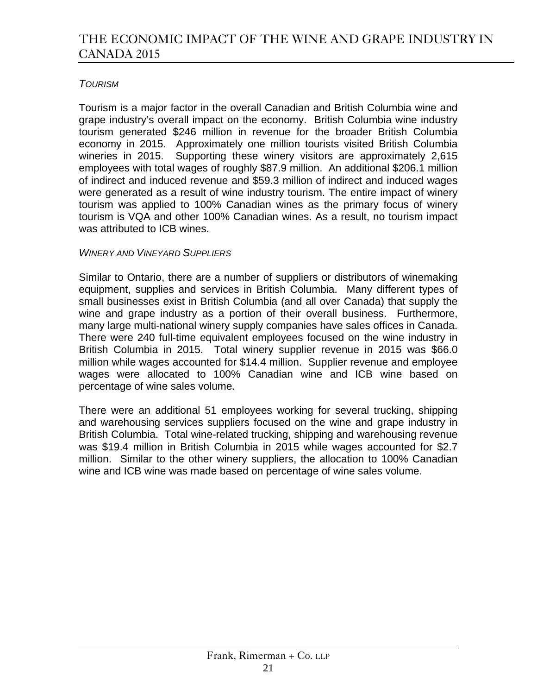### *TOURISM*

Tourism is a major factor in the overall Canadian and British Columbia wine and grape industry's overall impact on the economy. British Columbia wine industry tourism generated \$246 million in revenue for the broader British Columbia economy in 2015. Approximately one million tourists visited British Columbia wineries in 2015. Supporting these winery visitors are approximately 2,615 employees with total wages of roughly \$87.9 million. An additional \$206.1 million of indirect and induced revenue and \$59.3 million of indirect and induced wages were generated as a result of wine industry tourism. The entire impact of winery tourism was applied to 100% Canadian wines as the primary focus of winery tourism is VQA and other 100% Canadian wines. As a result, no tourism impact was attributed to ICB wines.

### *WINERY AND VINEYARD SUPPLIERS*

Similar to Ontario, there are a number of suppliers or distributors of winemaking equipment, supplies and services in British Columbia. Many different types of small businesses exist in British Columbia (and all over Canada) that supply the wine and grape industry as a portion of their overall business. Furthermore, many large multi-national winery supply companies have sales offices in Canada. There were 240 full-time equivalent employees focused on the wine industry in British Columbia in 2015. Total winery supplier revenue in 2015 was \$66.0 million while wages accounted for \$14.4 million. Supplier revenue and employee wages were allocated to 100% Canadian wine and ICB wine based on percentage of wine sales volume.

There were an additional 51 employees working for several trucking, shipping and warehousing services suppliers focused on the wine and grape industry in British Columbia. Total wine-related trucking, shipping and warehousing revenue was \$19.4 million in British Columbia in 2015 while wages accounted for \$2.7 million. Similar to the other winery suppliers, the allocation to 100% Canadian wine and ICB wine was made based on percentage of wine sales volume.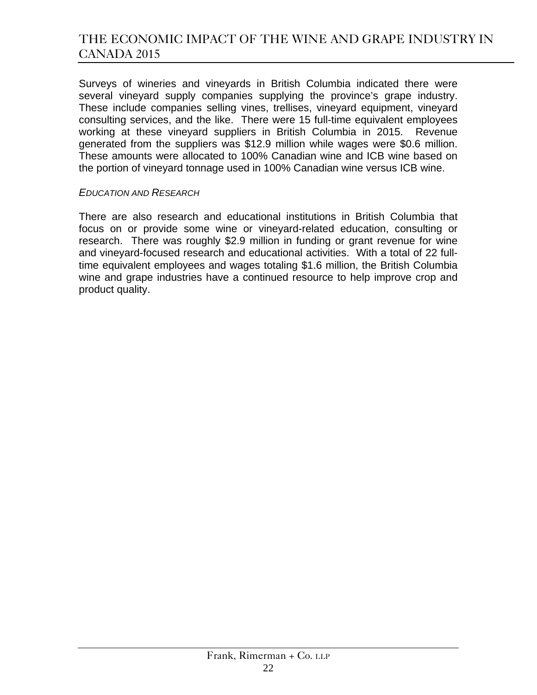Surveys of wineries and vineyards in British Columbia indicated there were several vineyard supply companies supplying the province's grape industry. These include companies selling vines, trellises, vineyard equipment, vineyard consulting services, and the like. There were 15 full-time equivalent employees working at these vineyard suppliers in British Columbia in 2015. Revenue generated from the suppliers was \$12.9 million while wages were \$0.6 million. These amounts were allocated to 100% Canadian wine and ICB wine based on the portion of vineyard tonnage used in 100% Canadian wine versus ICB wine.

#### *EDUCATION AND RESEARCH*

There are also research and educational institutions in British Columbia that focus on or provide some wine or vineyard-related education, consulting or research. There was roughly \$2.9 million in funding or grant revenue for wine and vineyard-focused research and educational activities. With a total of 22 fulltime equivalent employees and wages totaling \$1.6 million, the British Columbia wine and grape industries have a continued resource to help improve crop and product quality.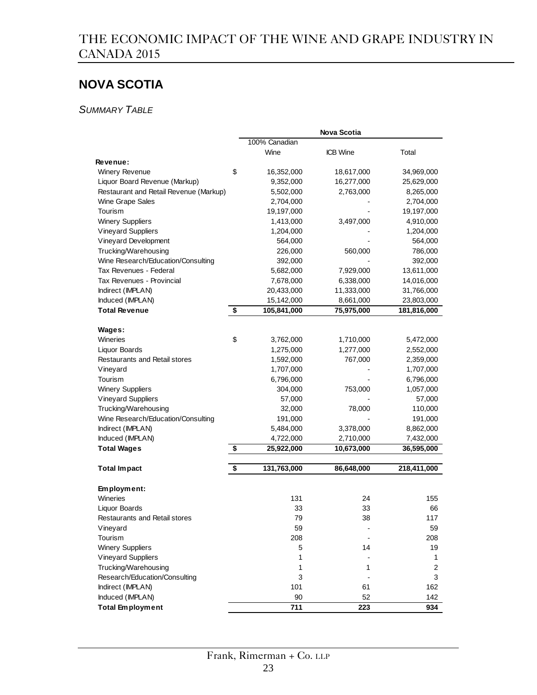# **NOVA SCOTIA**

*SUMMARY TABLE*

|                                        |                   | Nova Scotia     |             |
|----------------------------------------|-------------------|-----------------|-------------|
|                                        | 100% Canadian     |                 |             |
|                                        | Wine              | <b>ICB</b> Wine | Total       |
| <b>Revenue:</b>                        |                   |                 |             |
| <b>Winery Revenue</b>                  | \$<br>16,352,000  | 18,617,000      | 34,969,000  |
| Liquor Board Revenue (Markup)          | 9,352,000         | 16,277,000      | 25,629,000  |
| Restaurant and Retail Revenue (Markup) | 5,502,000         | 2,763,000       | 8,265,000   |
| Wine Grape Sales                       | 2,704,000         |                 | 2,704,000   |
| Tourism                                | 19,197,000        |                 | 19,197,000  |
| <b>Winery Suppliers</b>                | 1,413,000         | 3,497,000       | 4,910,000   |
| <b>Vineyard Suppliers</b>              | 1,204,000         |                 | 1,204,000   |
| Vineyard Development                   | 564,000           |                 | 564,000     |
| Trucking/Warehousing                   | 226,000           | 560,000         | 786,000     |
| Wine Research/Education/Consulting     | 392,000           |                 | 392,000     |
| Tax Revenues - Federal                 | 5,682,000         | 7,929,000       | 13,611,000  |
| Tax Revenues - Provincial              | 7,678,000         | 6,338,000       | 14,016,000  |
| Indirect (IMPLAN)                      | 20,433,000        | 11,333,000      | 31,766,000  |
| Induced (IMPLAN)                       | 15,142,000        | 8,661,000       | 23,803,000  |
| <b>Total Revenue</b>                   | \$<br>105,841,000 | 75,975,000      | 181,816,000 |
|                                        |                   |                 |             |
| Wages:                                 |                   |                 |             |
| Wineries                               | \$<br>3,762,000   | 1,710,000       | 5,472,000   |
| Liquor Boards                          | 1,275,000         | 1,277,000       | 2,552,000   |
| Restaurants and Retail stores          | 1,592,000         | 767,000         | 2,359,000   |
| Vineyard                               | 1,707,000         |                 | 1,707,000   |
| Tourism                                | 6,796,000         |                 | 6,796,000   |
| <b>Winery Suppliers</b>                | 304,000           | 753,000         | 1,057,000   |
| <b>Vineyard Suppliers</b>              | 57,000            |                 | 57,000      |
|                                        | 32,000            |                 |             |
| Trucking/Warehousing                   |                   | 78,000          | 110,000     |
| Wine Research/Education/Consulting     | 191,000           |                 | 191,000     |
| Indirect (IMPLAN)                      | 5,484,000         | 3,378,000       | 8,862,000   |
| Induced (IMPLAN)                       | 4,722,000         | 2,710,000       | 7,432,000   |
| <b>Total Wages</b>                     | \$<br>25,922,000  | 10,673,000      | 36,595,000  |
|                                        |                   |                 |             |
| <b>Total Impact</b>                    | \$<br>131,763,000 | 86,648,000      | 218,411,000 |
|                                        |                   |                 |             |
| Employment:                            |                   |                 |             |
| Wineries                               | 131               | 24              | 155         |
| <b>Liquor Boards</b>                   | 33                | 33              | 66          |
| Restaurants and Retail stores          | 79                | 38              | 117         |
| Vineyard                               | 59                |                 | 59          |
| Tourism                                | 208               |                 | 208         |
| <b>Winery Suppliers</b>                | 5                 | 14              | 19          |
| Vineyard Suppliers                     | 1                 |                 | 1           |
| Trucking/Warehousing                   | 1                 | 1               | 2           |
| Research/Education/Consulting          | 3                 |                 | 3           |
| Indirect (IMPLAN)                      | 101               | 61              | 162         |
| Induced (IMPLAN)                       | 90                | 52              | 142         |
| <b>Total Employment</b>                | 711               | 223             | 934         |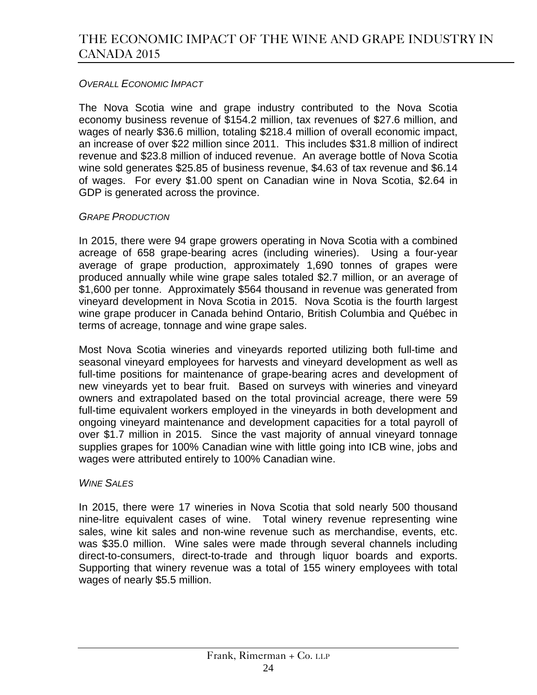### *OVERALL ECONOMIC IMPACT*

The Nova Scotia wine and grape industry contributed to the Nova Scotia economy business revenue of \$154.2 million, tax revenues of \$27.6 million, and wages of nearly \$36.6 million, totaling \$218.4 million of overall economic impact, an increase of over \$22 million since 2011. This includes \$31.8 million of indirect revenue and \$23.8 million of induced revenue. An average bottle of Nova Scotia wine sold generates \$25.85 of business revenue, \$4.63 of tax revenue and \$6.14 of wages. For every \$1.00 spent on Canadian wine in Nova Scotia, \$2.64 in GDP is generated across the province.

#### *GRAPE PRODUCTION*

In 2015, there were 94 grape growers operating in Nova Scotia with a combined acreage of 658 grape-bearing acres (including wineries). Using a four-year average of grape production, approximately 1,690 tonnes of grapes were produced annually while wine grape sales totaled \$2.7 million, or an average of \$1,600 per tonne. Approximately \$564 thousand in revenue was generated from vineyard development in Nova Scotia in 2015. Nova Scotia is the fourth largest wine grape producer in Canada behind Ontario, British Columbia and Québec in terms of acreage, tonnage and wine grape sales.

Most Nova Scotia wineries and vineyards reported utilizing both full-time and seasonal vineyard employees for harvests and vineyard development as well as full-time positions for maintenance of grape-bearing acres and development of new vineyards yet to bear fruit. Based on surveys with wineries and vineyard owners and extrapolated based on the total provincial acreage, there were 59 full-time equivalent workers employed in the vineyards in both development and ongoing vineyard maintenance and development capacities for a total payroll of over \$1.7 million in 2015. Since the vast majority of annual vineyard tonnage supplies grapes for 100% Canadian wine with little going into ICB wine, jobs and wages were attributed entirely to 100% Canadian wine.

#### *WINE SALES*

In 2015, there were 17 wineries in Nova Scotia that sold nearly 500 thousand nine-litre equivalent cases of wine. Total winery revenue representing wine sales, wine kit sales and non-wine revenue such as merchandise, events, etc. was \$35.0 million. Wine sales were made through several channels including direct-to-consumers, direct-to-trade and through liquor boards and exports. Supporting that winery revenue was a total of 155 winery employees with total wages of nearly \$5.5 million.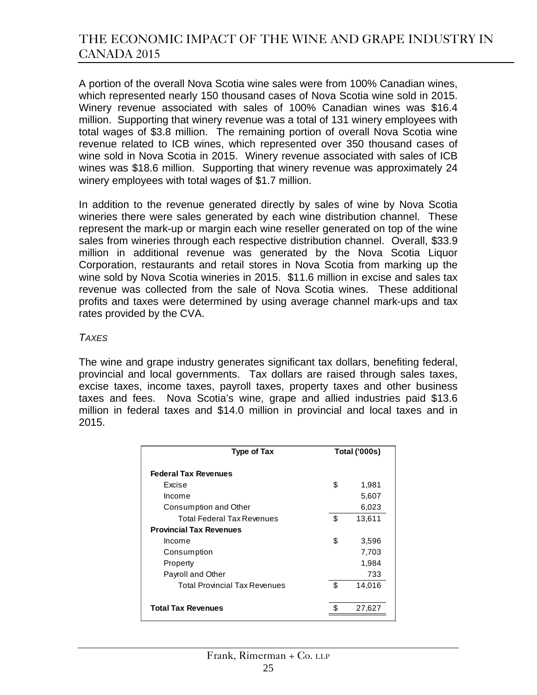A portion of the overall Nova Scotia wine sales were from 100% Canadian wines, which represented nearly 150 thousand cases of Nova Scotia wine sold in 2015. Winery revenue associated with sales of 100% Canadian wines was \$16.4 million. Supporting that winery revenue was a total of 131 winery employees with total wages of \$3.8 million. The remaining portion of overall Nova Scotia wine revenue related to ICB wines, which represented over 350 thousand cases of wine sold in Nova Scotia in 2015. Winery revenue associated with sales of ICB wines was \$18.6 million. Supporting that winery revenue was approximately 24 winery employees with total wages of \$1.7 million.

In addition to the revenue generated directly by sales of wine by Nova Scotia wineries there were sales generated by each wine distribution channel. These represent the mark-up or margin each wine reseller generated on top of the wine sales from wineries through each respective distribution channel. Overall, \$33.9 million in additional revenue was generated by the Nova Scotia Liquor Corporation, restaurants and retail stores in Nova Scotia from marking up the wine sold by Nova Scotia wineries in 2015. \$11.6 million in excise and sales tax revenue was collected from the sale of Nova Scotia wines. These additional profits and taxes were determined by using average channel mark-ups and tax rates provided by the CVA.

#### *TAXES*

The wine and grape industry generates significant tax dollars, benefiting federal, provincial and local governments. Tax dollars are raised through sales taxes, excise taxes, income taxes, payroll taxes, property taxes and other business taxes and fees. Nova Scotia's wine, grape and allied industries paid \$13.6 million in federal taxes and \$14.0 million in provincial and local taxes and in 2015.

| <b>Type of Tax</b>                   | <b>Total ('000s)</b> |        |
|--------------------------------------|----------------------|--------|
| <b>Federal Tax Revenues</b>          |                      |        |
| Excise                               | \$                   | 1,981  |
| Income                               |                      | 5,607  |
| Consumption and Other                |                      | 6,023  |
| Total Federal Tax Revenues           | \$                   | 13,611 |
| <b>Provincial Tax Revenues</b>       |                      |        |
| Income                               | \$                   | 3,596  |
| Consumption                          |                      | 7,703  |
| Property                             |                      | 1,984  |
| Payroll and Other                    |                      | 733    |
| <b>Total Provincial Tax Revenues</b> | \$                   | 14,016 |
| <b>Total Tax Revenues</b>            |                      | 27,627 |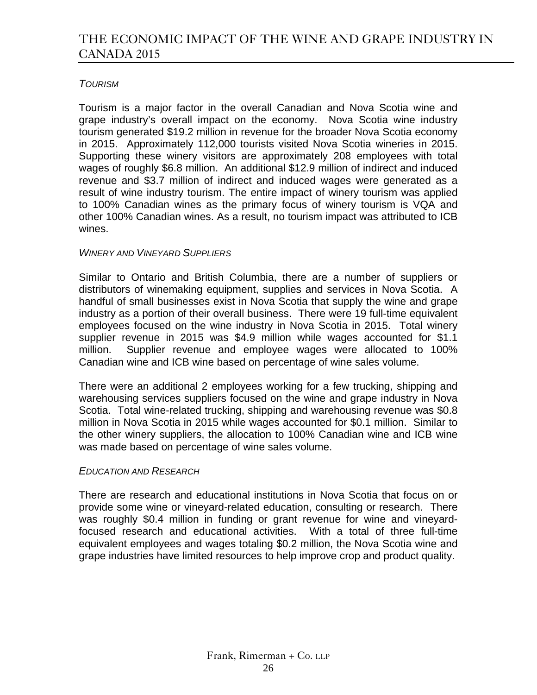### *TOURISM*

Tourism is a major factor in the overall Canadian and Nova Scotia wine and grape industry's overall impact on the economy. Nova Scotia wine industry tourism generated \$19.2 million in revenue for the broader Nova Scotia economy in 2015. Approximately 112,000 tourists visited Nova Scotia wineries in 2015. Supporting these winery visitors are approximately 208 employees with total wages of roughly \$6.8 million. An additional \$12.9 million of indirect and induced revenue and \$3.7 million of indirect and induced wages were generated as a result of wine industry tourism. The entire impact of winery tourism was applied to 100% Canadian wines as the primary focus of winery tourism is VQA and other 100% Canadian wines. As a result, no tourism impact was attributed to ICB wines.

### *WINERY AND VINEYARD SUPPLIERS*

Similar to Ontario and British Columbia, there are a number of suppliers or distributors of winemaking equipment, supplies and services in Nova Scotia. A handful of small businesses exist in Nova Scotia that supply the wine and grape industry as a portion of their overall business. There were 19 full-time equivalent employees focused on the wine industry in Nova Scotia in 2015. Total winery supplier revenue in 2015 was \$4.9 million while wages accounted for \$1.1 million. Supplier revenue and employee wages were allocated to 100% Canadian wine and ICB wine based on percentage of wine sales volume.

There were an additional 2 employees working for a few trucking, shipping and warehousing services suppliers focused on the wine and grape industry in Nova Scotia. Total wine-related trucking, shipping and warehousing revenue was \$0.8 million in Nova Scotia in 2015 while wages accounted for \$0.1 million. Similar to the other winery suppliers, the allocation to 100% Canadian wine and ICB wine was made based on percentage of wine sales volume.

### *EDUCATION AND RESEARCH*

There are research and educational institutions in Nova Scotia that focus on or provide some wine or vineyard-related education, consulting or research. There was roughly \$0.4 million in funding or grant revenue for wine and vineyardfocused research and educational activities. With a total of three full-time equivalent employees and wages totaling \$0.2 million, the Nova Scotia wine and grape industries have limited resources to help improve crop and product quality.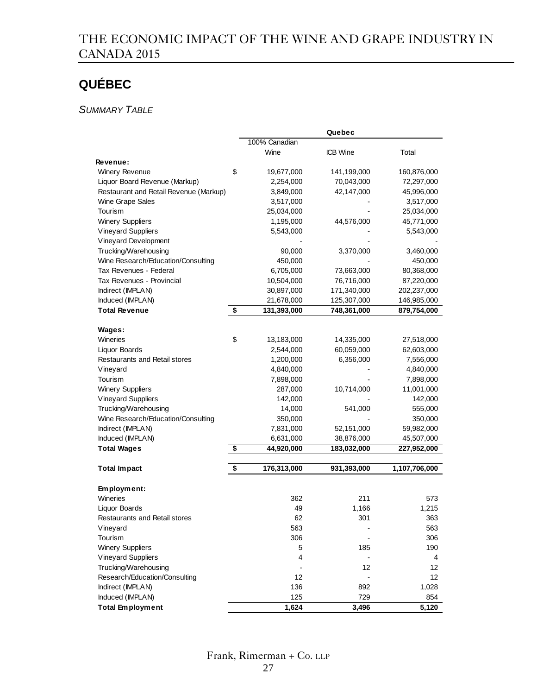# **QUÉBEC**

*SUMMARY TABLE*

|                                        |                   | Quebec          |               |
|----------------------------------------|-------------------|-----------------|---------------|
|                                        | 100% Canadian     |                 |               |
|                                        | Wine              | <b>ICB</b> Wine | Total         |
| Revenue:                               |                   |                 |               |
| <b>Winery Revenue</b>                  | \$<br>19,677,000  | 141,199,000     | 160,876,000   |
| Liquor Board Revenue (Markup)          | 2,254,000         | 70,043,000      | 72,297,000    |
| Restaurant and Retail Revenue (Markup) | 3,849,000         | 42,147,000      | 45,996,000    |
| Wine Grape Sales                       | 3,517,000         |                 | 3,517,000     |
| Tourism                                | 25,034,000        |                 | 25,034,000    |
| <b>Winery Suppliers</b>                | 1,195,000         | 44,576,000      | 45,771,000    |
| <b>Vineyard Suppliers</b>              | 5,543,000         |                 | 5,543,000     |
| Vineyard Development                   |                   |                 |               |
| Trucking/Warehousing                   | 90,000            | 3,370,000       | 3,460,000     |
| Wine Research/Education/Consulting     | 450,000           |                 | 450,000       |
| Tax Revenues - Federal                 | 6,705,000         | 73,663,000      | 80,368,000    |
| Tax Revenues - Provincial              | 10,504,000        | 76,716,000      | 87,220,000    |
| Indirect (IMPLAN)                      | 30,897,000        | 171,340,000     | 202,237,000   |
| Induced (IMPLAN)                       | 21,678,000        | 125,307,000     | 146,985,000   |
| <b>Total Revenue</b>                   | \$<br>131,393,000 | 748,361,000     | 879,754,000   |
|                                        |                   |                 |               |
| Wages:                                 |                   |                 |               |
| Wineries                               | \$<br>13,183,000  | 14,335,000      | 27,518,000    |
| Liquor Boards                          | 2,544,000         | 60,059,000      | 62,603,000    |
| <b>Restaurants and Retail stores</b>   | 1,200,000         | 6,356,000       | 7,556,000     |
| Vineyard                               | 4,840,000         |                 | 4,840,000     |
| Tourism                                | 7,898,000         |                 | 7,898,000     |
| <b>Winery Suppliers</b>                | 287,000           | 10,714,000      | 11,001,000    |
| <b>Vineyard Suppliers</b>              | 142,000           |                 | 142,000       |
| Trucking/Warehousing                   | 14,000            | 541,000         | 555,000       |
| Wine Research/Education/Consulting     | 350,000           |                 | 350,000       |
| Indirect (IMPLAN)                      | 7,831,000         | 52,151,000      | 59,982,000    |
| Induced (IMPLAN)                       | 6,631,000         | 38,876,000      | 45,507,000    |
| <b>Total Wages</b>                     | \$<br>44,920,000  | 183,032,000     | 227,952,000   |
|                                        |                   |                 |               |
| <b>Total Impact</b>                    | \$<br>176,313,000 | 931,393,000     | 1,107,706,000 |
| Employment:                            |                   |                 |               |
| Wineries                               | 362               | 211             | 573           |
| Liquor Boards                          | 49                | 1,166           | 1,215         |
| <b>Restaurants and Retail stores</b>   | 62                | 301             | 363           |
| Vineyard                               | 563               |                 | 563           |
| Tourism                                | 306               |                 | 306           |
| <b>Winery Suppliers</b>                | 5                 | 185             | 190           |
| <b>Vineyard Suppliers</b>              | 4                 |                 | 4             |
| Trucking/Warehousing                   |                   | 12              | 12            |
| Research/Education/Consulting          | 12                |                 | 12            |
| Indirect (IMPLAN)                      | 136               | 892             | 1,028         |
| Induced (IMPLAN)                       | 125               | 729             | 854           |
| <b>Total Employment</b>                | 1,624             | 3,496           | 5,120         |
|                                        |                   |                 |               |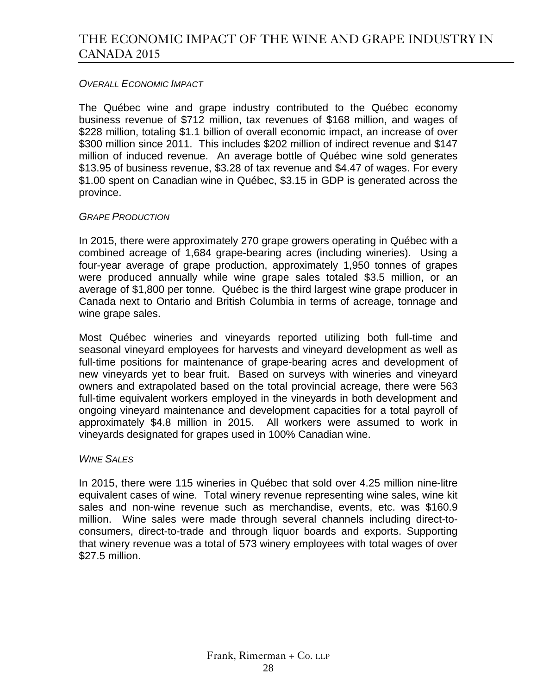### *OVERALL ECONOMIC IMPACT*

The Québec wine and grape industry contributed to the Québec economy business revenue of \$712 million, tax revenues of \$168 million, and wages of \$228 million, totaling \$1.1 billion of overall economic impact, an increase of over \$300 million since 2011. This includes \$202 million of indirect revenue and \$147 million of induced revenue. An average bottle of Québec wine sold generates \$13.95 of business revenue, \$3.28 of tax revenue and \$4.47 of wages. For every \$1.00 spent on Canadian wine in Québec, \$3.15 in GDP is generated across the province.

### *GRAPE PRODUCTION*

In 2015, there were approximately 270 grape growers operating in Québec with a combined acreage of 1,684 grape-bearing acres (including wineries). Using a four-year average of grape production, approximately 1,950 tonnes of grapes were produced annually while wine grape sales totaled \$3.5 million, or an average of \$1,800 per tonne. Québec is the third largest wine grape producer in Canada next to Ontario and British Columbia in terms of acreage, tonnage and wine grape sales.

Most Québec wineries and vineyards reported utilizing both full-time and seasonal vineyard employees for harvests and vineyard development as well as full-time positions for maintenance of grape-bearing acres and development of new vineyards yet to bear fruit. Based on surveys with wineries and vineyard owners and extrapolated based on the total provincial acreage, there were 563 full-time equivalent workers employed in the vineyards in both development and ongoing vineyard maintenance and development capacities for a total payroll of approximately \$4.8 million in 2015. All workers were assumed to work in vineyards designated for grapes used in 100% Canadian wine.

### *WINE SALES*

In 2015, there were 115 wineries in Québec that sold over 4.25 million nine-litre equivalent cases of wine. Total winery revenue representing wine sales, wine kit sales and non-wine revenue such as merchandise, events, etc. was \$160.9 million. Wine sales were made through several channels including direct-toconsumers, direct-to-trade and through liquor boards and exports. Supporting that winery revenue was a total of 573 winery employees with total wages of over \$27.5 million.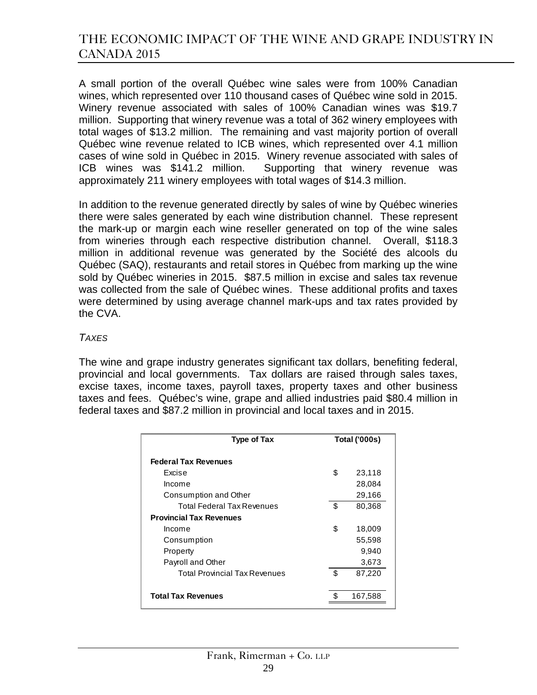A small portion of the overall Québec wine sales were from 100% Canadian wines, which represented over 110 thousand cases of Québec wine sold in 2015. Winery revenue associated with sales of 100% Canadian wines was \$19.7 million. Supporting that winery revenue was a total of 362 winery employees with total wages of \$13.2 million. The remaining and vast majority portion of overall Québec wine revenue related to ICB wines, which represented over 4.1 million cases of wine sold in Québec in 2015. Winery revenue associated with sales of ICB wines was \$141.2 million. Supporting that winery revenue was approximately 211 winery employees with total wages of \$14.3 million.

In addition to the revenue generated directly by sales of wine by Québec wineries there were sales generated by each wine distribution channel. These represent the mark-up or margin each wine reseller generated on top of the wine sales from wineries through each respective distribution channel. Overall, \$118.3 million in additional revenue was generated by the Société des alcools du Québec (SAQ), restaurants and retail stores in Québec from marking up the wine sold by Québec wineries in 2015. \$87.5 million in excise and sales tax revenue was collected from the sale of Québec wines. These additional profits and taxes were determined by using average channel mark-ups and tax rates provided by the CVA.

#### *TAXES*

The wine and grape industry generates significant tax dollars, benefiting federal, provincial and local governments. Tax dollars are raised through sales taxes, excise taxes, income taxes, payroll taxes, property taxes and other business taxes and fees. Québec's wine, grape and allied industries paid \$80.4 million in federal taxes and \$87.2 million in provincial and local taxes and in 2015.

| Type of Tax                          | <b>Total ('000s)</b> |         |
|--------------------------------------|----------------------|---------|
| <b>Federal Tax Revenues</b>          |                      |         |
| Excise                               | \$                   | 23,118  |
| Income                               |                      | 28,084  |
| Consumption and Other                |                      | 29,166  |
| Total Federal Tax Revenues           | \$                   | 80,368  |
| <b>Provincial Tax Revenues</b>       |                      |         |
| Income                               | \$                   | 18,009  |
| Consumption                          |                      | 55,598  |
| Property                             |                      | 9,940   |
| Payroll and Other                    |                      | 3,673   |
| <b>Total Provincial Tax Revenues</b> | \$                   | 87,220  |
|                                      |                      |         |
| <b>Total Tax Revenues</b>            |                      | 167,588 |
|                                      |                      |         |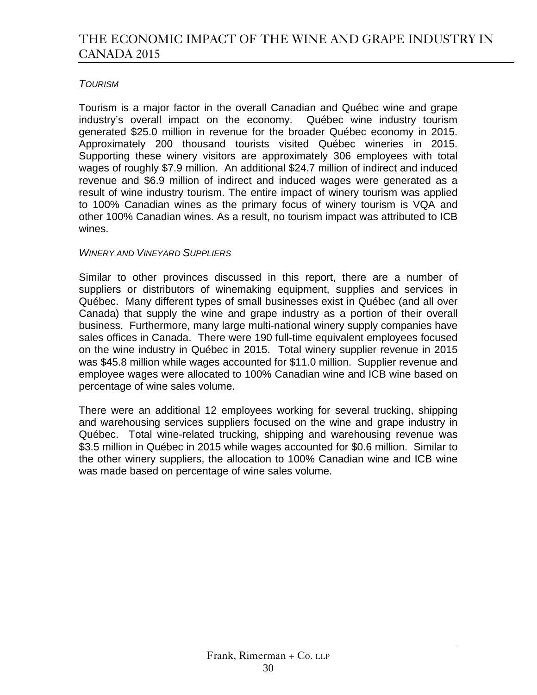### *TOURISM*

Tourism is a major factor in the overall Canadian and Québec wine and grape industry's overall impact on the economy. Québec wine industry tourism generated \$25.0 million in revenue for the broader Québec economy in 2015. Approximately 200 thousand tourists visited Québec wineries in 2015. Supporting these winery visitors are approximately 306 employees with total wages of roughly \$7.9 million. An additional \$24.7 million of indirect and induced revenue and \$6.9 million of indirect and induced wages were generated as a result of wine industry tourism. The entire impact of winery tourism was applied to 100% Canadian wines as the primary focus of winery tourism is VQA and other 100% Canadian wines. As a result, no tourism impact was attributed to ICB wines.

### *WINERY AND VINEYARD SUPPLIERS*

Similar to other provinces discussed in this report, there are a number of suppliers or distributors of winemaking equipment, supplies and services in Québec. Many different types of small businesses exist in Québec (and all over Canada) that supply the wine and grape industry as a portion of their overall business. Furthermore, many large multi-national winery supply companies have sales offices in Canada. There were 190 full-time equivalent employees focused on the wine industry in Québec in 2015. Total winery supplier revenue in 2015 was \$45.8 million while wages accounted for \$11.0 million. Supplier revenue and employee wages were allocated to 100% Canadian wine and ICB wine based on percentage of wine sales volume.

There were an additional 12 employees working for several trucking, shipping and warehousing services suppliers focused on the wine and grape industry in Québec. Total wine-related trucking, shipping and warehousing revenue was \$3.5 million in Québec in 2015 while wages accounted for \$0.6 million. Similar to the other winery suppliers, the allocation to 100% Canadian wine and ICB wine was made based on percentage of wine sales volume.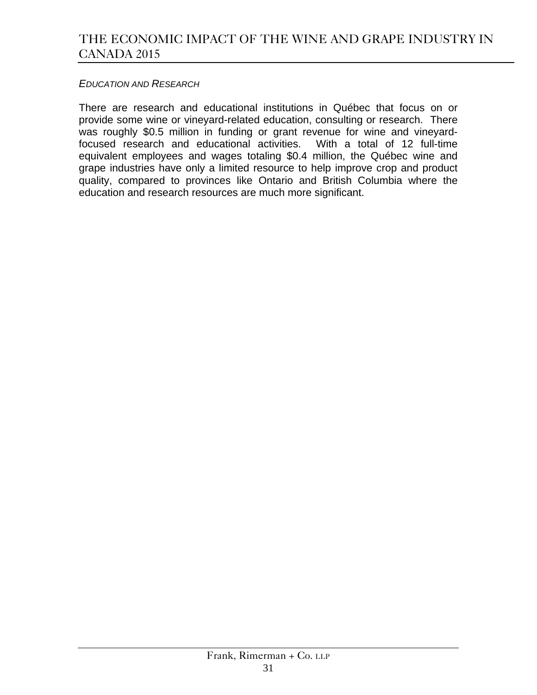#### *EDUCATION AND RESEARCH*

There are research and educational institutions in Québec that focus on or provide some wine or vineyard-related education, consulting or research. There was roughly \$0.5 million in funding or grant revenue for wine and vineyardfocused research and educational activities. With a total of 12 full-time equivalent employees and wages totaling \$0.4 million, the Québec wine and grape industries have only a limited resource to help improve crop and product quality, compared to provinces like Ontario and British Columbia where the education and research resources are much more significant.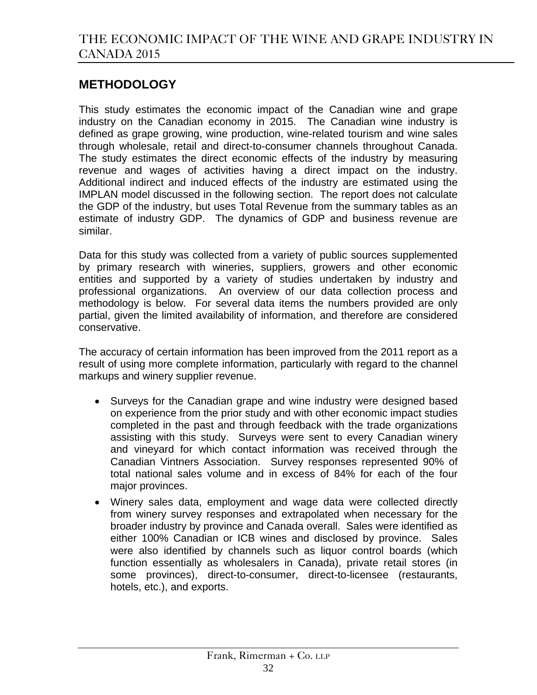# **METHODOLOGY**

This study estimates the economic impact of the Canadian wine and grape industry on the Canadian economy in 2015. The Canadian wine industry is defined as grape growing, wine production, wine-related tourism and wine sales through wholesale, retail and direct-to-consumer channels throughout Canada. The study estimates the direct economic effects of the industry by measuring revenue and wages of activities having a direct impact on the industry. Additional indirect and induced effects of the industry are estimated using the IMPLAN model discussed in the following section. The report does not calculate the GDP of the industry, but uses Total Revenue from the summary tables as an estimate of industry GDP. The dynamics of GDP and business revenue are similar.

Data for this study was collected from a variety of public sources supplemented by primary research with wineries, suppliers, growers and other economic entities and supported by a variety of studies undertaken by industry and professional organizations. An overview of our data collection process and methodology is below. For several data items the numbers provided are only partial, given the limited availability of information, and therefore are considered conservative.

The accuracy of certain information has been improved from the 2011 report as a result of using more complete information, particularly with regard to the channel markups and winery supplier revenue.

- Surveys for the Canadian grape and wine industry were designed based on experience from the prior study and with other economic impact studies completed in the past and through feedback with the trade organizations assisting with this study. Surveys were sent to every Canadian winery and vineyard for which contact information was received through the Canadian Vintners Association. Survey responses represented 90% of total national sales volume and in excess of 84% for each of the four major provinces.
- Winery sales data, employment and wage data were collected directly from winery survey responses and extrapolated when necessary for the broader industry by province and Canada overall. Sales were identified as either 100% Canadian or ICB wines and disclosed by province. Sales were also identified by channels such as liquor control boards (which function essentially as wholesalers in Canada), private retail stores (in some provinces), direct-to-consumer, direct-to-licensee (restaurants, hotels, etc.), and exports.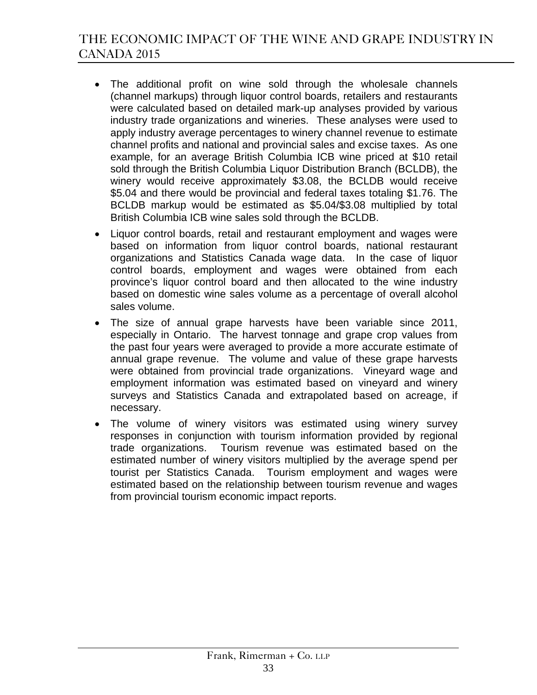- The additional profit on wine sold through the wholesale channels (channel markups) through liquor control boards, retailers and restaurants were calculated based on detailed mark-up analyses provided by various industry trade organizations and wineries. These analyses were used to apply industry average percentages to winery channel revenue to estimate channel profits and national and provincial sales and excise taxes. As one example, for an average British Columbia ICB wine priced at \$10 retail sold through the British Columbia Liquor Distribution Branch (BCLDB), the winery would receive approximately \$3.08, the BCLDB would receive \$5.04 and there would be provincial and federal taxes totaling \$1.76. The BCLDB markup would be estimated as \$5.04/\$3.08 multiplied by total British Columbia ICB wine sales sold through the BCLDB.
- Liquor control boards, retail and restaurant employment and wages were based on information from liquor control boards, national restaurant organizations and Statistics Canada wage data. In the case of liquor control boards, employment and wages were obtained from each province's liquor control board and then allocated to the wine industry based on domestic wine sales volume as a percentage of overall alcohol sales volume.
- The size of annual grape harvests have been variable since 2011, especially in Ontario. The harvest tonnage and grape crop values from the past four years were averaged to provide a more accurate estimate of annual grape revenue. The volume and value of these grape harvests were obtained from provincial trade organizations. Vineyard wage and employment information was estimated based on vineyard and winery surveys and Statistics Canada and extrapolated based on acreage, if necessary.
- The volume of winery visitors was estimated using winery survey responses in conjunction with tourism information provided by regional trade organizations. Tourism revenue was estimated based on the estimated number of winery visitors multiplied by the average spend per tourist per Statistics Canada. Tourism employment and wages were estimated based on the relationship between tourism revenue and wages from provincial tourism economic impact reports.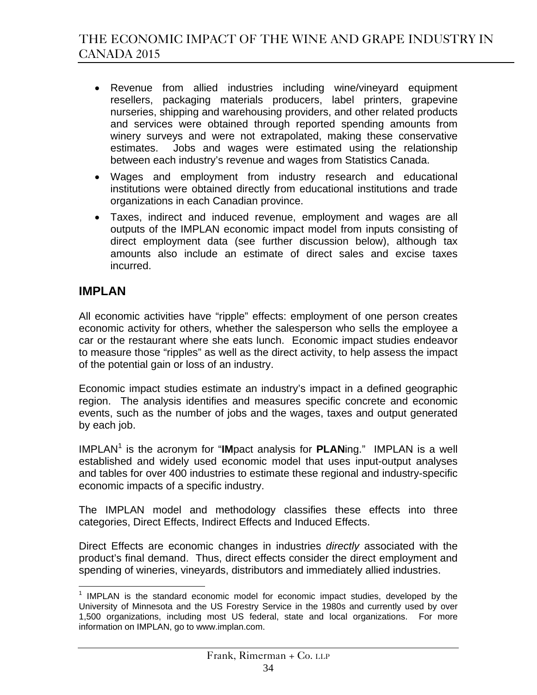- Revenue from allied industries including wine/vineyard equipment resellers, packaging materials producers, label printers, grapevine nurseries, shipping and warehousing providers, and other related products and services were obtained through reported spending amounts from winery surveys and were not extrapolated, making these conservative estimates. Jobs and wages were estimated using the relationship between each industry's revenue and wages from Statistics Canada.
- Wages and employment from industry research and educational institutions were obtained directly from educational institutions and trade organizations in each Canadian province.
- Taxes, indirect and induced revenue, employment and wages are all outputs of the IMPLAN economic impact model from inputs consisting of direct employment data (see further discussion below), although tax amounts also include an estimate of direct sales and excise taxes incurred.

# **IMPLAN**

All economic activities have "ripple" effects: employment of one person creates economic activity for others, whether the salesperson who sells the employee a car or the restaurant where she eats lunch. Economic impact studies endeavor to measure those "ripples" as well as the direct activity, to help assess the impact of the potential gain or loss of an industry.

Economic impact studies estimate an industry's impact in a defined geographic region. The analysis identifies and measures specific concrete and economic events, such as the number of jobs and the wages, taxes and output generated by each job.

IMPLAN<sup>1</sup> is the acronym for "IMpact analysis for PLANing." IMPLAN is a well established and widely used economic model that uses input-output analyses and tables for over 400 industries to estimate these regional and industry-specific economic impacts of a specific industry.

The IMPLAN model and methodology classifies these effects into three categories, Direct Effects, Indirect Effects and Induced Effects.

Direct Effects are economic changes in industries *directly* associated with the product's final demand. Thus, direct effects consider the direct employment and spending of wineries, vineyards, distributors and immediately allied industries.

<sup>&</sup>lt;u>.</u>  $1$  IMPLAN is the standard economic model for economic impact studies, developed by the University of Minnesota and the US Forestry Service in the 1980s and currently used by over 1,500 organizations, including most US federal, state and local organizations. For more information on IMPLAN, go to www.implan.com.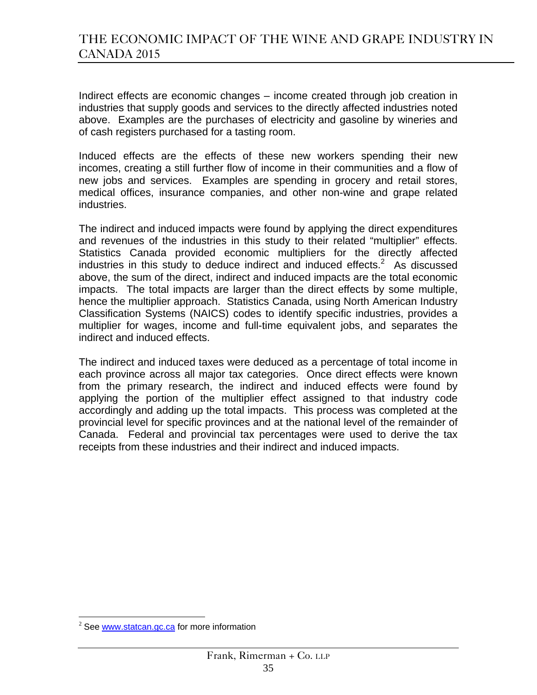Indirect effects are economic changes – income created through job creation in industries that supply goods and services to the directly affected industries noted above. Examples are the purchases of electricity and gasoline by wineries and of cash registers purchased for a tasting room.

Induced effects are the effects of these new workers spending their new incomes, creating a still further flow of income in their communities and a flow of new jobs and services. Examples are spending in grocery and retail stores, medical offices, insurance companies, and other non-wine and grape related industries.

The indirect and induced impacts were found by applying the direct expenditures and revenues of the industries in this study to their related "multiplier" effects. Statistics Canada provided economic multipliers for the directly affected industries in this study to deduce indirect and induced effects. $2$  As discussed above, the sum of the direct, indirect and induced impacts are the total economic impacts. The total impacts are larger than the direct effects by some multiple, hence the multiplier approach. Statistics Canada, using North American Industry Classification Systems (NAICS) codes to identify specific industries, provides a multiplier for wages, income and full-time equivalent jobs, and separates the indirect and induced effects.

The indirect and induced taxes were deduced as a percentage of total income in each province across all major tax categories. Once direct effects were known from the primary research, the indirect and induced effects were found by applying the portion of the multiplier effect assigned to that industry code accordingly and adding up the total impacts. This process was completed at the provincial level for specific provinces and at the national level of the remainder of Canada. Federal and provincial tax percentages were used to derive the tax receipts from these industries and their indirect and induced impacts.

 $\overline{a}$ 

 $2$  See www.statcan.gc.ca for more information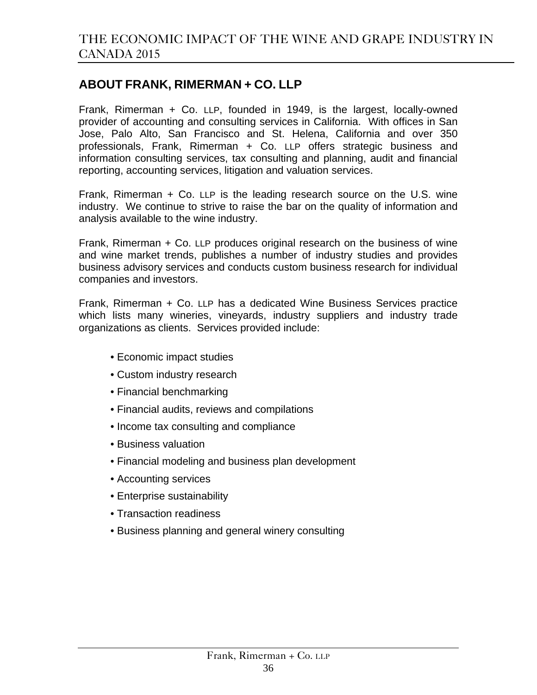### **ABOUT FRANK, RIMERMAN + CO. LLP**

Frank, Rimerman + Co. LLP, founded in 1949, is the largest, locally-owned provider of accounting and consulting services in California. With offices in San Jose, Palo Alto, San Francisco and St. Helena, California and over 350 professionals, Frank, Rimerman + Co. LLP offers strategic business and information consulting services, tax consulting and planning, audit and financial reporting, accounting services, litigation and valuation services.

Frank, Rimerman + Co. LLP is the leading research source on the U.S. wine industry. We continue to strive to raise the bar on the quality of information and analysis available to the wine industry.

Frank, Rimerman + Co. LLP produces original research on the business of wine and wine market trends, publishes a number of industry studies and provides business advisory services and conducts custom business research for individual companies and investors.

Frank, Rimerman + Co. LLP has a dedicated Wine Business Services practice which lists many wineries, vineyards, industry suppliers and industry trade organizations as clients. Services provided include:

- Economic impact studies
- Custom industry research
- Financial benchmarking
- Financial audits, reviews and compilations
- Income tax consulting and compliance
- Business valuation
- Financial modeling and business plan development
- Accounting services
- Enterprise sustainability
- Transaction readiness
- Business planning and general winery consulting